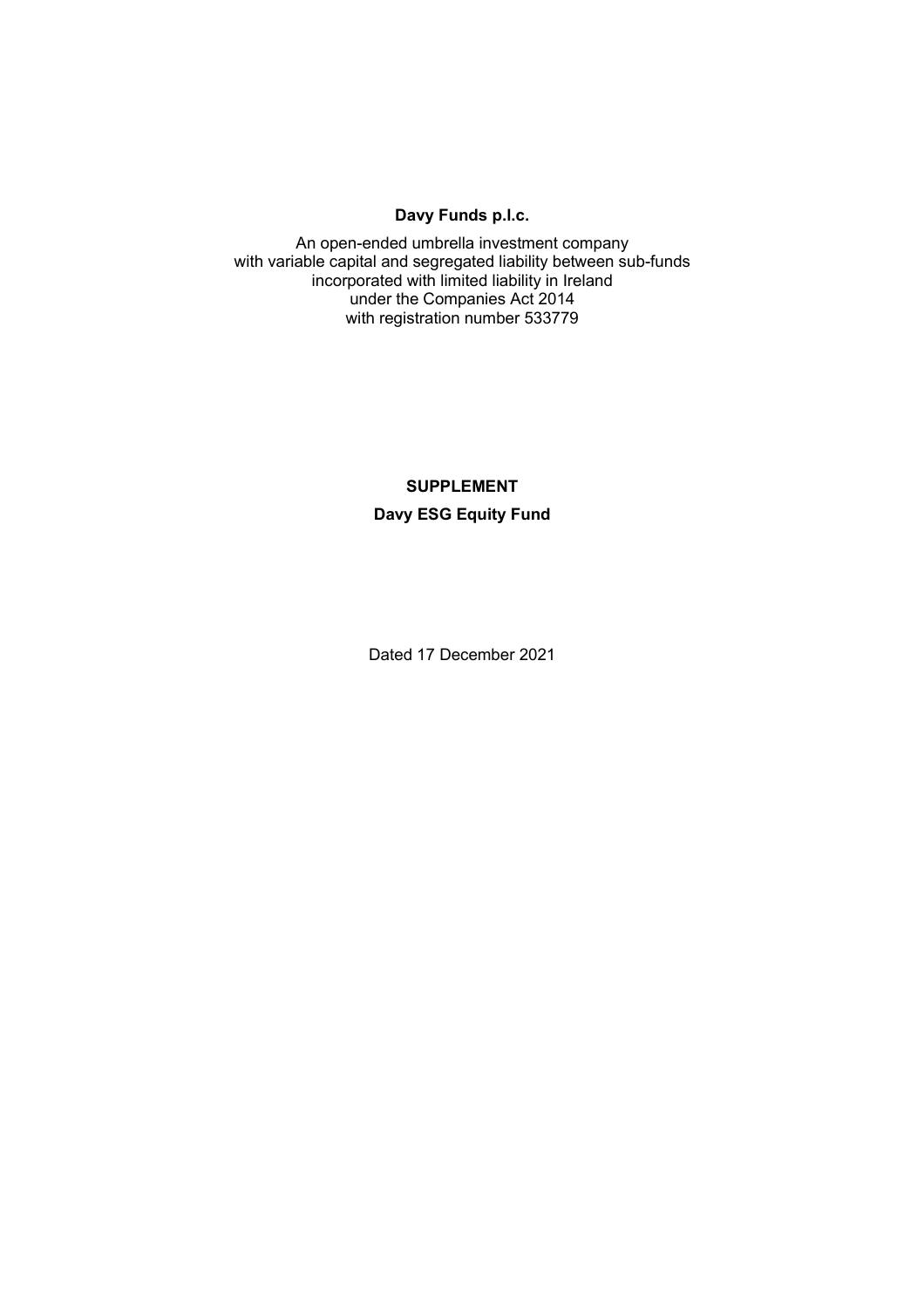### **Davy Funds p.l.c.**

An open-ended umbrella investment company with variable capital and segregated liability between sub-funds incorporated with limited liability in Ireland under the Companies Act 2014 with registration number 533779

# **SUPPLEMENT Davy ESG Equity Fund**

Dated 17 December 2021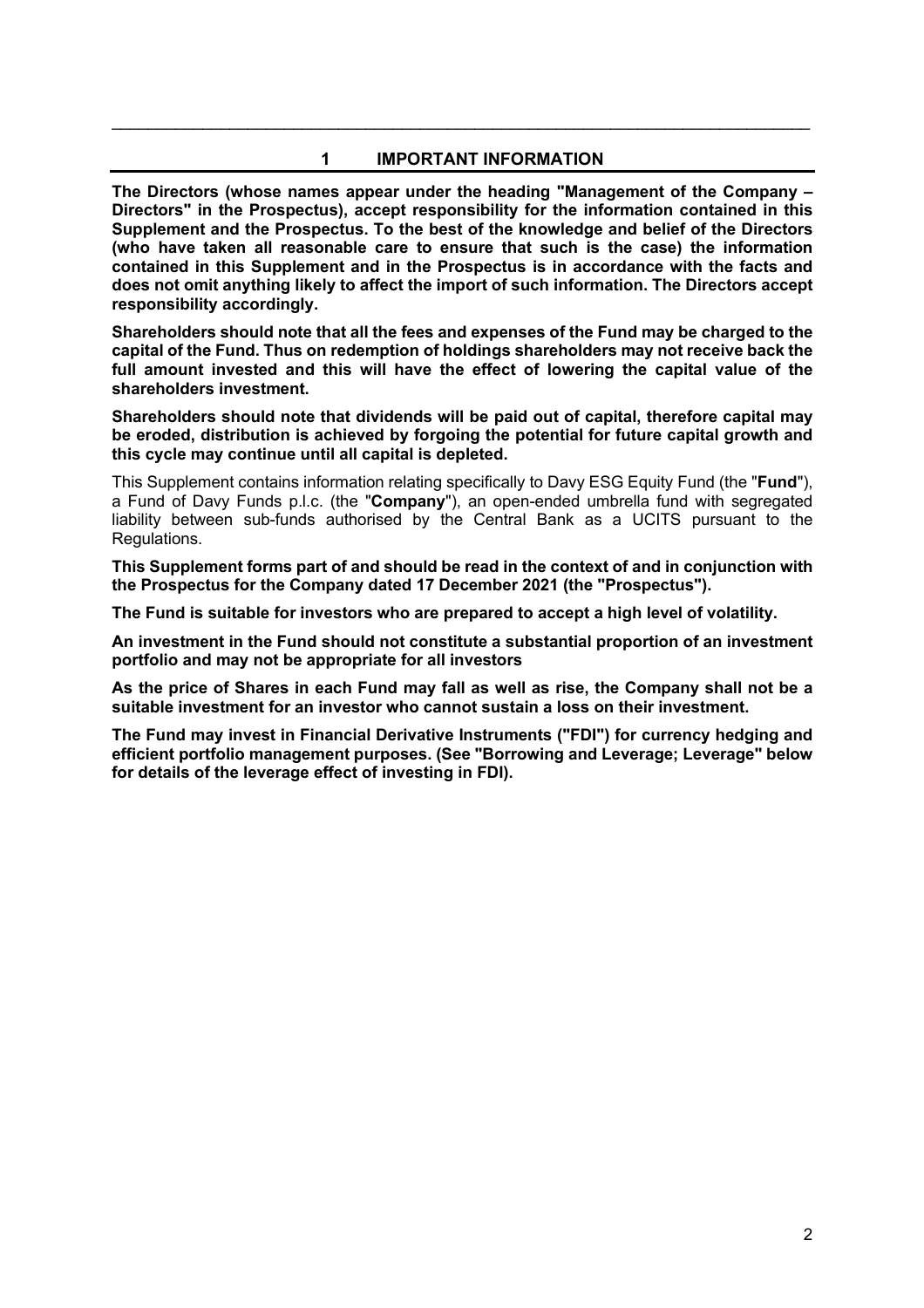### **1 IMPORTANT INFORMATION**

\_\_\_\_\_\_\_\_\_\_\_\_\_\_\_\_\_\_\_\_\_\_\_\_\_\_\_\_\_\_\_\_\_\_\_\_\_\_\_\_\_\_\_\_\_\_\_\_\_\_\_\_\_\_\_\_\_\_\_\_\_\_\_\_\_\_\_\_\_\_\_\_\_\_\_\_\_

**The Directors (whose names appear under the heading "Management of the Company – Directors" in the Prospectus), accept responsibility for the information contained in this Supplement and the Prospectus. To the best of the knowledge and belief of the Directors (who have taken all reasonable care to ensure that such is the case) the information contained in this Supplement and in the Prospectus is in accordance with the facts and does not omit anything likely to affect the import of such information. The Directors accept responsibility accordingly.** 

**Shareholders should note that all the fees and expenses of the Fund may be charged to the capital of the Fund. Thus on redemption of holdings shareholders may not receive back the full amount invested and this will have the effect of lowering the capital value of the shareholders investment.** 

**Shareholders should note that dividends will be paid out of capital, therefore capital may be eroded, distribution is achieved by forgoing the potential for future capital growth and this cycle may continue until all capital is depleted.** 

This Supplement contains information relating specifically to Davy ESG Equity Fund (the "**Fund**"), a Fund of Davy Funds p.l.c. (the "**Company**"), an open-ended umbrella fund with segregated liability between sub-funds authorised by the Central Bank as a UCITS pursuant to the Regulations.

**This Supplement forms part of and should be read in the context of and in conjunction with the Prospectus for the Company dated 17 December 2021 (the "Prospectus").** 

**The Fund is suitable for investors who are prepared to accept a high level of volatility.** 

**An investment in the Fund should not constitute a substantial proportion of an investment portfolio and may not be appropriate for all investors** 

**As the price of Shares in each Fund may fall as well as rise, the Company shall not be a suitable investment for an investor who cannot sustain a loss on their investment.** 

**The Fund may invest in Financial Derivative Instruments ("FDI") for currency hedging and efficient portfolio management purposes. (See "Borrowing and Leverage; Leverage" below for details of the leverage effect of investing in FDI).**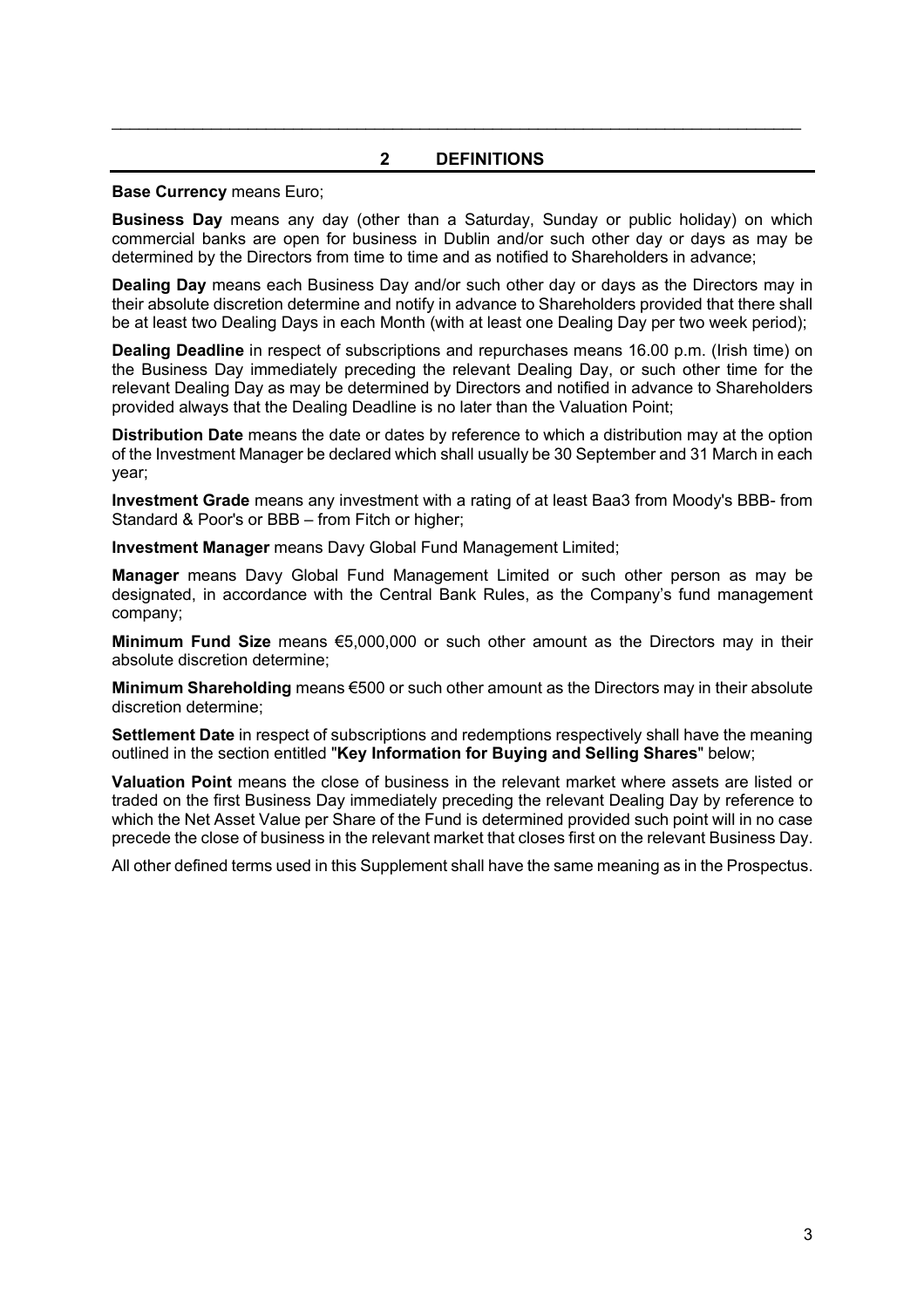### **2 DEFINITIONS**

 $\mathcal{L}_\mathcal{L} = \mathcal{L}_\mathcal{L} = \mathcal{L}_\mathcal{L} = \mathcal{L}_\mathcal{L} = \mathcal{L}_\mathcal{L} = \mathcal{L}_\mathcal{L} = \mathcal{L}_\mathcal{L} = \mathcal{L}_\mathcal{L} = \mathcal{L}_\mathcal{L} = \mathcal{L}_\mathcal{L} = \mathcal{L}_\mathcal{L} = \mathcal{L}_\mathcal{L} = \mathcal{L}_\mathcal{L} = \mathcal{L}_\mathcal{L} = \mathcal{L}_\mathcal{L} = \mathcal{L}_\mathcal{L} = \mathcal{L}_\mathcal{L}$ 

#### **Base Currency** means Euro;

**Business Day** means any day (other than a Saturday, Sunday or public holiday) on which commercial banks are open for business in Dublin and/or such other day or days as may be determined by the Directors from time to time and as notified to Shareholders in advance;

**Dealing Day** means each Business Day and/or such other day or days as the Directors may in their absolute discretion determine and notify in advance to Shareholders provided that there shall be at least two Dealing Days in each Month (with at least one Dealing Day per two week period);

**Dealing Deadline** in respect of subscriptions and repurchases means 16.00 p.m. (Irish time) on the Business Day immediately preceding the relevant Dealing Day, or such other time for the relevant Dealing Day as may be determined by Directors and notified in advance to Shareholders provided always that the Dealing Deadline is no later than the Valuation Point;

**Distribution Date** means the date or dates by reference to which a distribution may at the option of the Investment Manager be declared which shall usually be 30 September and 31 March in each year;

**Investment Grade** means any investment with a rating of at least Baa3 from Moody's BBB- from Standard & Poor's or BBB – from Fitch or higher;

**Investment Manager** means Davy Global Fund Management Limited;

**Manager** means Davy Global Fund Management Limited or such other person as may be designated, in accordance with the Central Bank Rules, as the Company's fund management company;

**Minimum Fund Size** means €5,000,000 or such other amount as the Directors may in their absolute discretion determine;

**Minimum Shareholding** means €500 or such other amount as the Directors may in their absolute discretion determine;

**Settlement Date** in respect of subscriptions and redemptions respectively shall have the meaning outlined in the section entitled "**Key Information for Buying and Selling Shares**" below;

**Valuation Point** means the close of business in the relevant market where assets are listed or traded on the first Business Day immediately preceding the relevant Dealing Day by reference to which the Net Asset Value per Share of the Fund is determined provided such point will in no case precede the close of business in the relevant market that closes first on the relevant Business Day.

All other defined terms used in this Supplement shall have the same meaning as in the Prospectus.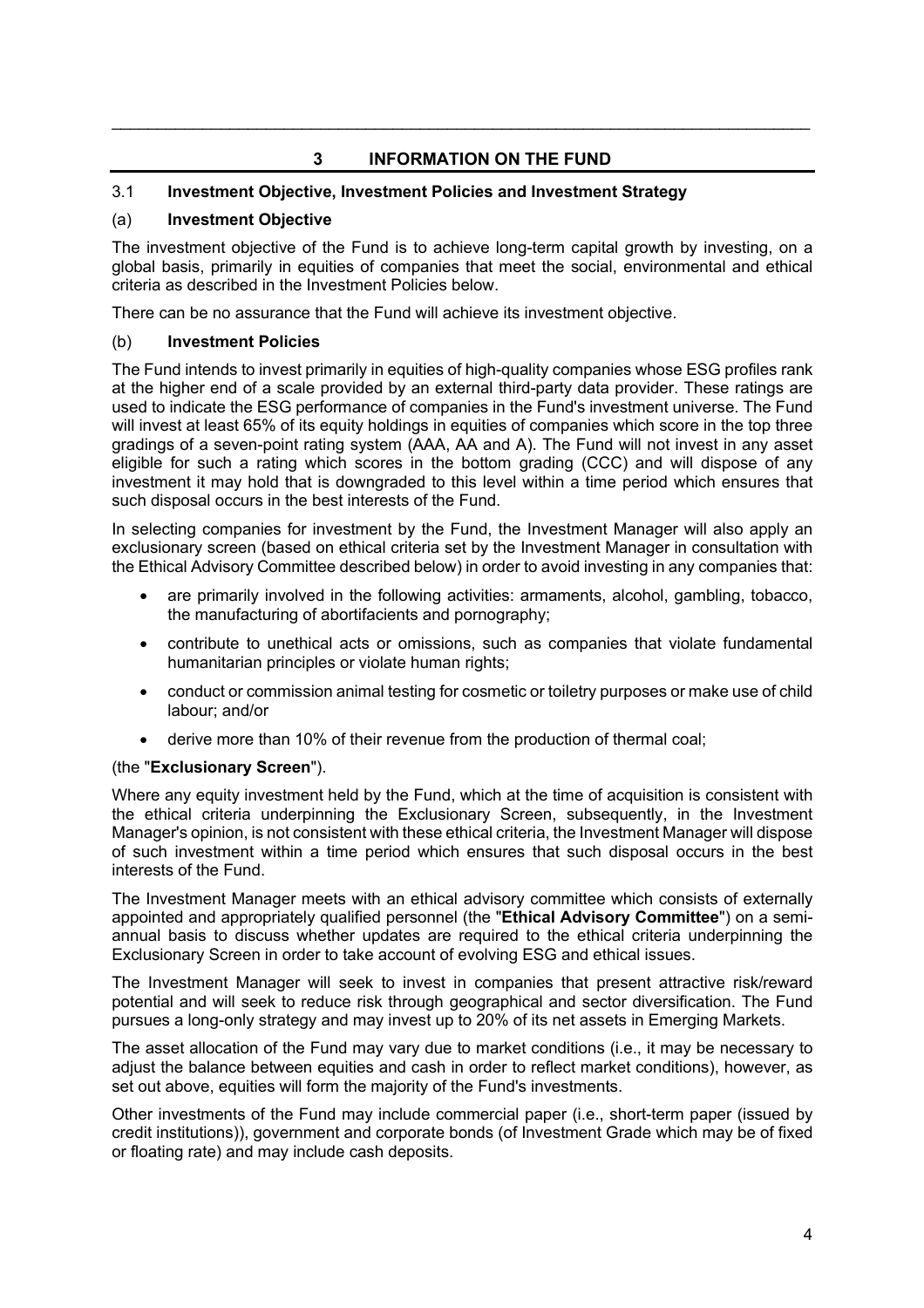# **3 INFORMATION ON THE FUND**

\_\_\_\_\_\_\_\_\_\_\_\_\_\_\_\_\_\_\_\_\_\_\_\_\_\_\_\_\_\_\_\_\_\_\_\_\_\_\_\_\_\_\_\_\_\_\_\_\_\_\_\_\_\_\_\_\_\_\_\_\_\_\_\_\_\_\_\_\_\_\_\_\_\_\_\_\_

# 3.1 **Investment Objective, Investment Policies and Investment Strategy**

### (a) **Investment Objective**

The investment objective of the Fund is to achieve long-term capital growth by investing, on a global basis, primarily in equities of companies that meet the social, environmental and ethical criteria as described in the Investment Policies below.

There can be no assurance that the Fund will achieve its investment objective.

### (b) **Investment Policies**

The Fund intends to invest primarily in equities of high-quality companies whose ESG profiles rank at the higher end of a scale provided by an external third-party data provider. These ratings are used to indicate the ESG performance of companies in the Fund's investment universe. The Fund will invest at least 65% of its equity holdings in equities of companies which score in the top three gradings of a seven-point rating system (AAA, AA and A). The Fund will not invest in any asset eligible for such a rating which scores in the bottom grading (CCC) and will dispose of any investment it may hold that is downgraded to this level within a time period which ensures that such disposal occurs in the best interests of the Fund.

In selecting companies for investment by the Fund, the Investment Manager will also apply an exclusionary screen (based on ethical criteria set by the Investment Manager in consultation with the Ethical Advisory Committee described below) in order to avoid investing in any companies that:

- are primarily involved in the following activities: armaments, alcohol, gambling, tobacco, the manufacturing of abortifacients and pornography;
- contribute to unethical acts or omissions, such as companies that violate fundamental humanitarian principles or violate human rights;
- conduct or commission animal testing for cosmetic or toiletry purposes or make use of child labour; and/or
- derive more than 10% of their revenue from the production of thermal coal;

# (the "**Exclusionary Screen**").

Where any equity investment held by the Fund, which at the time of acquisition is consistent with the ethical criteria underpinning the Exclusionary Screen, subsequently, in the Investment Manager's opinion, is not consistent with these ethical criteria, the Investment Manager will dispose of such investment within a time period which ensures that such disposal occurs in the best interests of the Fund.

The Investment Manager meets with an ethical advisory committee which consists of externally appointed and appropriately qualified personnel (the "**Ethical Advisory Committee**") on a semiannual basis to discuss whether updates are required to the ethical criteria underpinning the Exclusionary Screen in order to take account of evolving ESG and ethical issues.

The Investment Manager will seek to invest in companies that present attractive risk/reward potential and will seek to reduce risk through geographical and sector diversification. The Fund pursues a long-only strategy and may invest up to 20% of its net assets in Emerging Markets.

The asset allocation of the Fund may vary due to market conditions (i.e., it may be necessary to adjust the balance between equities and cash in order to reflect market conditions), however, as set out above, equities will form the majority of the Fund's investments.

Other investments of the Fund may include commercial paper (i.e., short-term paper (issued by credit institutions)), government and corporate bonds (of Investment Grade which may be of fixed or floating rate) and may include cash deposits.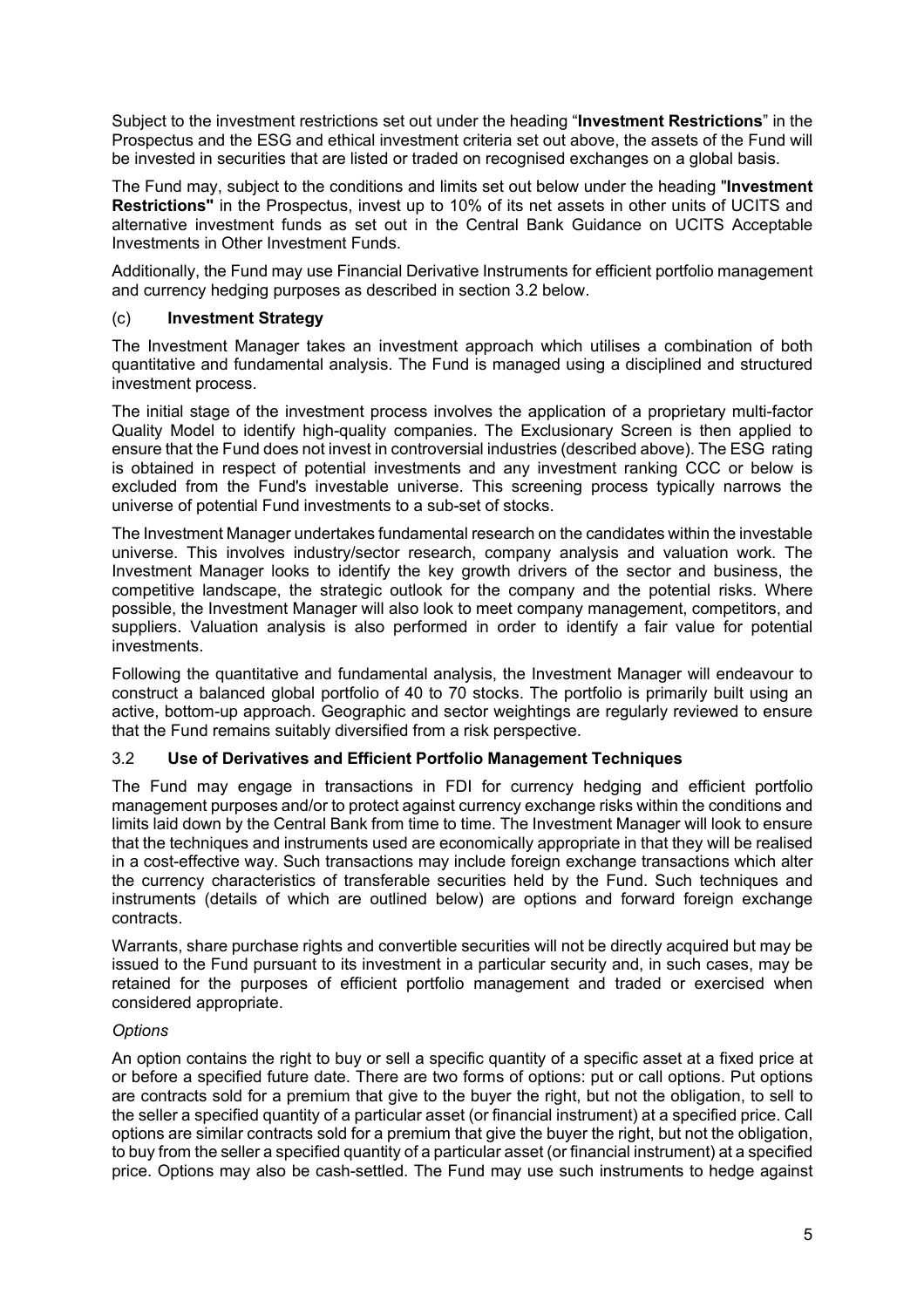Subject to the investment restrictions set out under the heading "**Investment Restrictions**" in the Prospectus and the ESG and ethical investment criteria set out above, the assets of the Fund will be invested in securities that are listed or traded on recognised exchanges on a global basis.

The Fund may, subject to the conditions and limits set out below under the heading "**Investment Restrictions"** in the Prospectus, invest up to 10% of its net assets in other units of UCITS and alternative investment funds as set out in the Central Bank Guidance on UCITS Acceptable Investments in Other Investment Funds.

Additionally, the Fund may use Financial Derivative Instruments for efficient portfolio management and currency hedging purposes as described in section 3.2 below.

### (c) **Investment Strategy**

The Investment Manager takes an investment approach which utilises a combination of both quantitative and fundamental analysis. The Fund is managed using a disciplined and structured investment process.

The initial stage of the investment process involves the application of a proprietary multi-factor Quality Model to identify high-quality companies. The Exclusionary Screen is then applied to ensure that the Fund does not invest in controversial industries (described above). The ESG rating is obtained in respect of potential investments and any investment ranking CCC or below is excluded from the Fund's investable universe. This screening process typically narrows the universe of potential Fund investments to a sub-set of stocks.

The Investment Manager undertakes fundamental research on the candidates within the investable universe. This involves industry/sector research, company analysis and valuation work. The Investment Manager looks to identify the key growth drivers of the sector and business, the competitive landscape, the strategic outlook for the company and the potential risks. Where possible, the Investment Manager will also look to meet company management, competitors, and suppliers. Valuation analysis is also performed in order to identify a fair value for potential investments.

Following the quantitative and fundamental analysis, the Investment Manager will endeavour to construct a balanced global portfolio of 40 to 70 stocks. The portfolio is primarily built using an active, bottom-up approach. Geographic and sector weightings are regularly reviewed to ensure that the Fund remains suitably diversified from a risk perspective.

#### 3.2 **Use of Derivatives and Efficient Portfolio Management Techniques**

The Fund may engage in transactions in FDI for currency hedging and efficient portfolio management purposes and/or to protect against currency exchange risks within the conditions and limits laid down by the Central Bank from time to time. The Investment Manager will look to ensure that the techniques and instruments used are economically appropriate in that they will be realised in a cost-effective way. Such transactions may include foreign exchange transactions which alter the currency characteristics of transferable securities held by the Fund. Such techniques and instruments (details of which are outlined below) are options and forward foreign exchange contracts.

Warrants, share purchase rights and convertible securities will not be directly acquired but may be issued to the Fund pursuant to its investment in a particular security and, in such cases, may be retained for the purposes of efficient portfolio management and traded or exercised when considered appropriate.

#### *Options*

An option contains the right to buy or sell a specific quantity of a specific asset at a fixed price at or before a specified future date. There are two forms of options: put or call options. Put options are contracts sold for a premium that give to the buyer the right, but not the obligation, to sell to the seller a specified quantity of a particular asset (or financial instrument) at a specified price. Call options are similar contracts sold for a premium that give the buyer the right, but not the obligation, to buy from the seller a specified quantity of a particular asset (or financial instrument) at a specified price. Options may also be cash-settled. The Fund may use such instruments to hedge against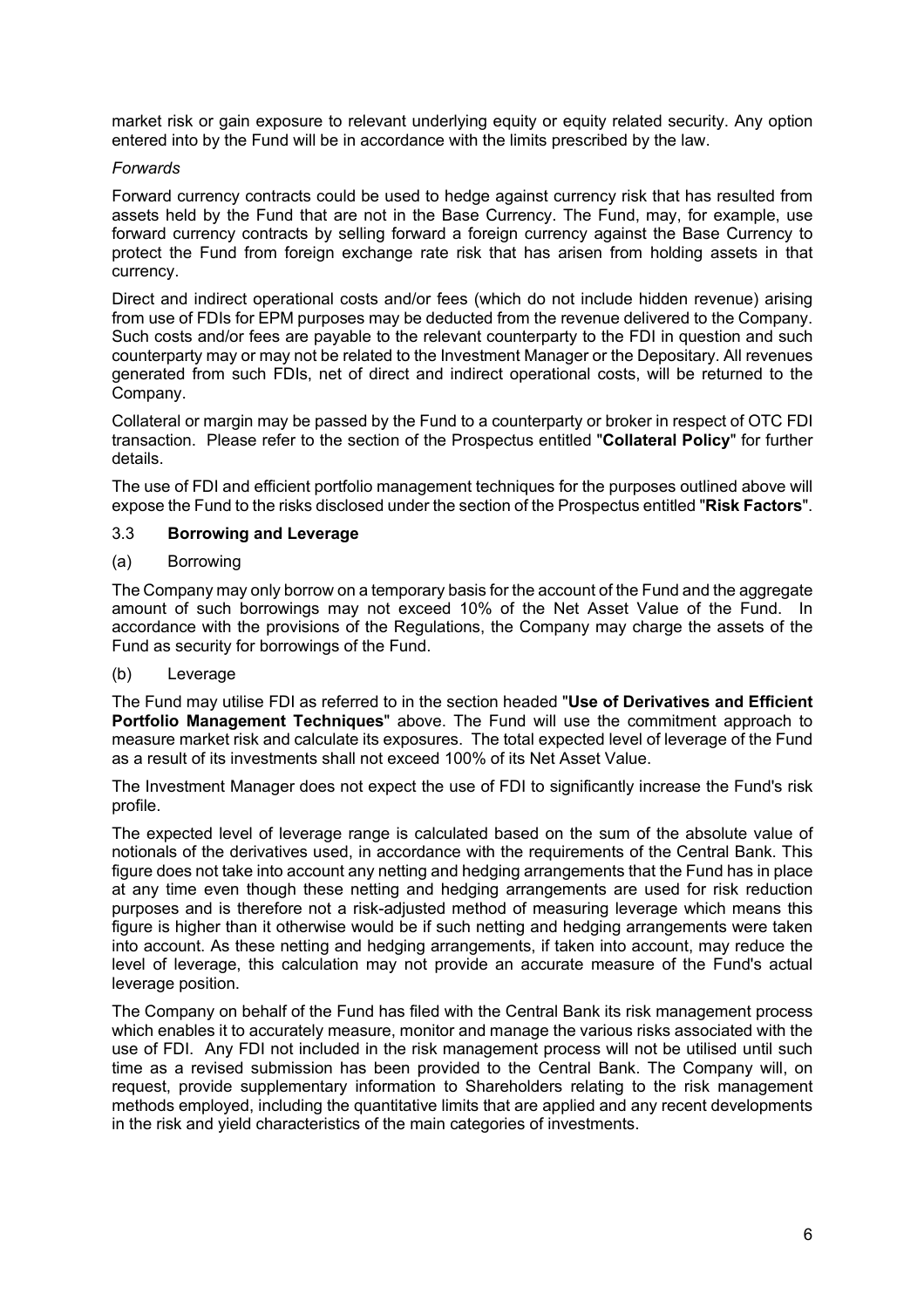market risk or gain exposure to relevant underlying equity or equity related security. Any option entered into by the Fund will be in accordance with the limits prescribed by the law.

### *Forwards*

Forward currency contracts could be used to hedge against currency risk that has resulted from assets held by the Fund that are not in the Base Currency. The Fund, may, for example, use forward currency contracts by selling forward a foreign currency against the Base Currency to protect the Fund from foreign exchange rate risk that has arisen from holding assets in that currency.

Direct and indirect operational costs and/or fees (which do not include hidden revenue) arising from use of FDIs for EPM purposes may be deducted from the revenue delivered to the Company. Such costs and/or fees are payable to the relevant counterparty to the FDI in question and such counterparty may or may not be related to the Investment Manager or the Depositary. All revenues generated from such FDIs, net of direct and indirect operational costs, will be returned to the Company.

Collateral or margin may be passed by the Fund to a counterparty or broker in respect of OTC FDI transaction. Please refer to the section of the Prospectus entitled "**Collateral Policy**" for further details.

The use of FDI and efficient portfolio management techniques for the purposes outlined above will expose the Fund to the risks disclosed under the section of the Prospectus entitled "**Risk Factors**".

### 3.3 **Borrowing and Leverage**

### (a) Borrowing

The Company may only borrow on a temporary basis for the account of the Fund and the aggregate amount of such borrowings may not exceed 10% of the Net Asset Value of the Fund. In accordance with the provisions of the Regulations, the Company may charge the assets of the Fund as security for borrowings of the Fund.

# (b) Leverage

The Fund may utilise FDI as referred to in the section headed "**Use of Derivatives and Efficient Portfolio Management Techniques**" above. The Fund will use the commitment approach to measure market risk and calculate its exposures. The total expected level of leverage of the Fund as a result of its investments shall not exceed 100% of its Net Asset Value.

The Investment Manager does not expect the use of FDI to significantly increase the Fund's risk profile.

The expected level of leverage range is calculated based on the sum of the absolute value of notionals of the derivatives used, in accordance with the requirements of the Central Bank. This figure does not take into account any netting and hedging arrangements that the Fund has in place at any time even though these netting and hedging arrangements are used for risk reduction purposes and is therefore not a risk-adjusted method of measuring leverage which means this figure is higher than it otherwise would be if such netting and hedging arrangements were taken into account. As these netting and hedging arrangements, if taken into account, may reduce the level of leverage, this calculation may not provide an accurate measure of the Fund's actual leverage position.

The Company on behalf of the Fund has filed with the Central Bank its risk management process which enables it to accurately measure, monitor and manage the various risks associated with the use of FDI. Any FDI not included in the risk management process will not be utilised until such time as a revised submission has been provided to the Central Bank. The Company will, on request, provide supplementary information to Shareholders relating to the risk management methods employed, including the quantitative limits that are applied and any recent developments in the risk and yield characteristics of the main categories of investments.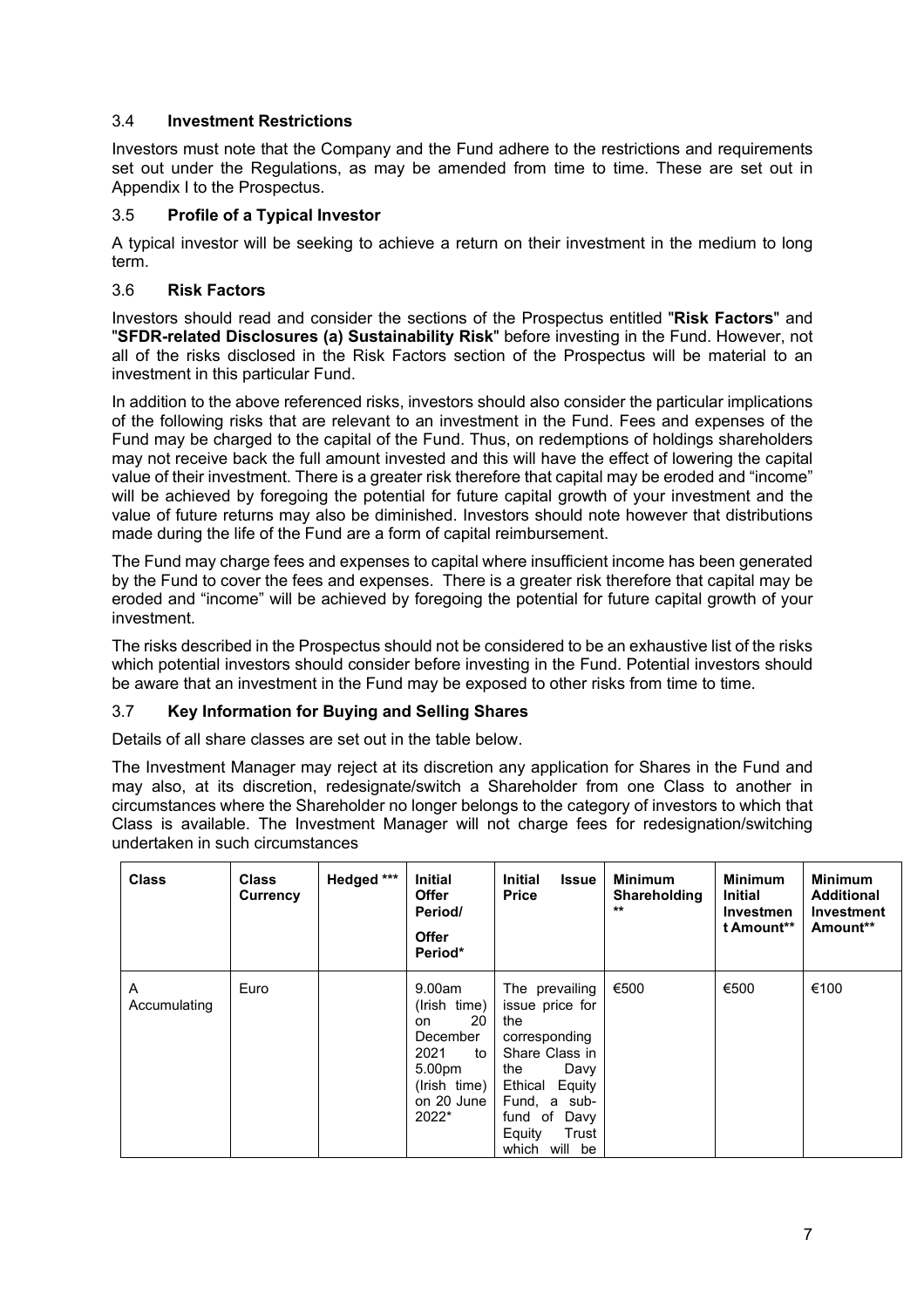# 3.4 **Investment Restrictions**

Investors must note that the Company and the Fund adhere to the restrictions and requirements set out under the Regulations, as may be amended from time to time. These are set out in Appendix I to the Prospectus.

# 3.5 **Profile of a Typical Investor**

A typical investor will be seeking to achieve a return on their investment in the medium to long term.

# 3.6 **Risk Factors**

Investors should read and consider the sections of the Prospectus entitled "**Risk Factors**" and "**SFDR-related Disclosures (a) Sustainability Risk**" before investing in the Fund. However, not all of the risks disclosed in the Risk Factors section of the Prospectus will be material to an investment in this particular Fund.

In addition to the above referenced risks, investors should also consider the particular implications of the following risks that are relevant to an investment in the Fund. Fees and expenses of the Fund may be charged to the capital of the Fund. Thus, on redemptions of holdings shareholders may not receive back the full amount invested and this will have the effect of lowering the capital value of their investment. There is a greater risk therefore that capital may be eroded and "income" will be achieved by foregoing the potential for future capital growth of your investment and the value of future returns may also be diminished. Investors should note however that distributions made during the life of the Fund are a form of capital reimbursement.

The Fund may charge fees and expenses to capital where insufficient income has been generated by the Fund to cover the fees and expenses. There is a greater risk therefore that capital may be eroded and "income" will be achieved by foregoing the potential for future capital growth of your investment.

The risks described in the Prospectus should not be considered to be an exhaustive list of the risks which potential investors should consider before investing in the Fund. Potential investors should be aware that an investment in the Fund may be exposed to other risks from time to time.

# 3.7 **Key Information for Buying and Selling Shares**

Details of all share classes are set out in the table below.

The Investment Manager may reject at its discretion any application for Shares in the Fund and may also, at its discretion, redesignate/switch a Shareholder from one Class to another in circumstances where the Shareholder no longer belongs to the category of investors to which that Class is available. The Investment Manager will not charge fees for redesignation/switching undertaken in such circumstances

| <b>Class</b>      | <b>Class</b><br>Currency | Hedged *** | <b>Initial</b><br><b>Offer</b><br>Period/<br><b>Offer</b><br>Period*                                           | <b>Initial</b><br><b>Issue</b><br><b>Price</b>                                                                                                                                      | <b>Minimum</b><br><b>Shareholding</b><br>$**$ | <b>Minimum</b><br><b>Initial</b><br><b>Investmen</b><br>t Amount** | <b>Minimum</b><br><b>Additional</b><br>Investment<br>Amount** |
|-------------------|--------------------------|------------|----------------------------------------------------------------------------------------------------------------|-------------------------------------------------------------------------------------------------------------------------------------------------------------------------------------|-----------------------------------------------|--------------------------------------------------------------------|---------------------------------------------------------------|
| A<br>Accumulating | Euro                     |            | 9.00am<br>(Irish time)<br>20<br>on.<br>December<br>2021<br>to<br>5.00pm<br>(Irish time)<br>on 20 June<br>2022* | The prevailing<br>issue price for<br>the<br>corresponding<br>Share Class in<br>the<br>Davy<br>Ethical Equity<br>Fund, a sub-<br>fund of<br>Davy<br>Equity<br>Trust<br>which will be | €500                                          | €500                                                               | €100                                                          |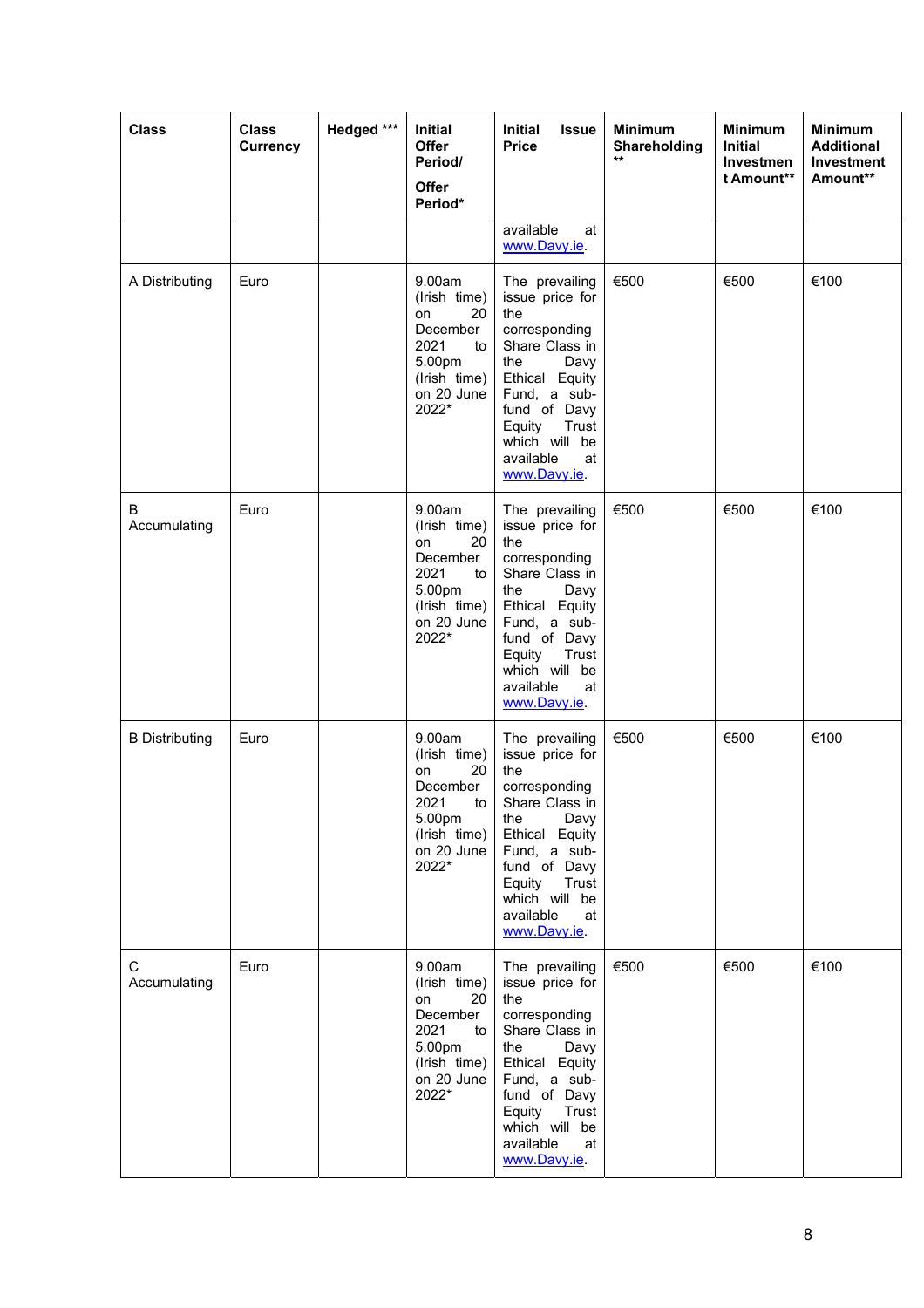| <b>Class</b>                | <b>Class</b><br><b>Currency</b> | Hedged *** | Initial<br><b>Offer</b><br>Period/<br><b>Offer</b><br>Period*                                                 | Initial<br><b>Issue</b><br><b>Price</b>                                                                                                                                                                             | <b>Minimum</b><br>Shareholding<br>$***$ | <b>Minimum</b><br><b>Initial</b><br>Investmen<br>t Amount** | <b>Minimum</b><br><b>Additional</b><br>Investment<br>Amount** |
|-----------------------------|---------------------------------|------------|---------------------------------------------------------------------------------------------------------------|---------------------------------------------------------------------------------------------------------------------------------------------------------------------------------------------------------------------|-----------------------------------------|-------------------------------------------------------------|---------------------------------------------------------------|
|                             |                                 |            |                                                                                                               | available<br>at<br>www.Davy.ie.                                                                                                                                                                                     |                                         |                                                             |                                                               |
| A Distributing              | Euro                            |            | 9.00am<br>(Irish time)<br>20<br>on<br>December<br>2021<br>to<br>5.00pm<br>(Irish time)<br>on 20 June<br>2022* | The prevailing<br>issue price for<br>the<br>corresponding<br>Share Class in<br>the<br>Davy<br>Ethical Equity<br>Fund, a sub-<br>fund of Davy<br>Equity<br>Trust<br>which will be<br>available<br>at<br>www.Davy.je. | €500                                    | €500                                                        | €100                                                          |
| B<br>Accumulating           | Euro                            |            | 9.00am<br>(Irish time)<br>20<br>on<br>December<br>2021<br>to<br>5.00pm<br>(Irish time)<br>on 20 June<br>2022* | The prevailing<br>issue price for<br>the<br>corresponding<br>Share Class in<br>Davy<br>the<br>Ethical Equity<br>Fund, a sub-<br>fund of Davy<br>Equity<br>Trust<br>which will be<br>available<br>at<br>www.Davy.ie. | €500                                    | €500                                                        | €100                                                          |
| <b>B</b> Distributing       | Euro                            |            | 9.00am<br>(Irish time)<br>on<br>20<br>December<br>2021<br>to<br>5.00pm<br>(Irish time)<br>on 20 June<br>2022* | The prevailing<br>issue price for<br>the<br>corresponding<br>Share Class in<br>Davy<br>the<br>Ethical Equity<br>Fund, a sub-<br>fund of Davy<br>Equity<br>Trust<br>which will be<br>available<br>at<br>www.Davy.ie. | €500                                    | €500                                                        | €100                                                          |
| $\mathbf C$<br>Accumulating | Euro                            |            | 9.00am<br>(Irish time)<br>on<br>20<br>December<br>2021<br>to<br>5.00pm<br>(Irish time)<br>on 20 June<br>2022* | The prevailing<br>issue price for<br>the<br>corresponding<br>Share Class in<br>Davy<br>the<br>Ethical Equity<br>Fund, a sub-<br>fund of Davy<br>Equity<br>Trust<br>which will be<br>available<br>at<br>www.Davy.ie. | €500                                    | €500                                                        | €100                                                          |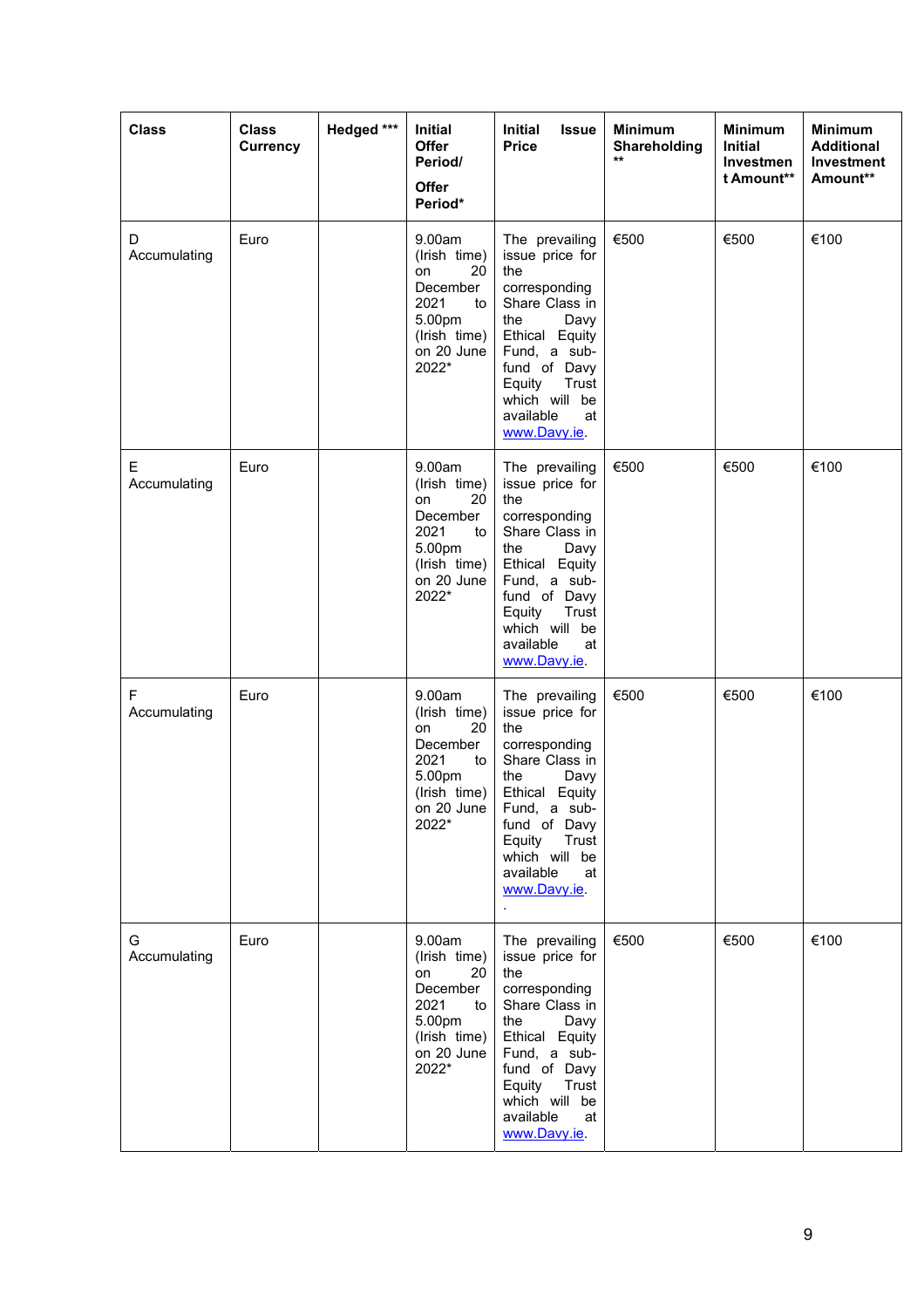| <b>Class</b>      | <b>Class</b><br><b>Currency</b> | Hedged *** | Initial<br>Offer<br>Period/<br><b>Offer</b><br>Period*                                                        | <b>Initial</b><br><b>Issue</b><br><b>Price</b>                                                                                                                                                                      | <b>Minimum</b><br>Shareholding<br>$\star\star$ | <b>Minimum</b><br><b>Initial</b><br>Investmen<br>t Amount** | <b>Minimum</b><br><b>Additional</b><br>Investment<br>Amount** |
|-------------------|---------------------------------|------------|---------------------------------------------------------------------------------------------------------------|---------------------------------------------------------------------------------------------------------------------------------------------------------------------------------------------------------------------|------------------------------------------------|-------------------------------------------------------------|---------------------------------------------------------------|
| D<br>Accumulating | Euro                            |            | 9.00am<br>(Irish time)<br>20<br>on<br>December<br>2021<br>to<br>5.00pm<br>(Irish time)<br>on 20 June<br>2022* | The prevailing<br>issue price for<br>the<br>corresponding<br>Share Class in<br>the<br>Davy<br>Ethical Equity<br>Fund, a sub-<br>fund of Davy<br>Equity<br>Trust<br>which will be<br>available<br>at<br>www.Davy.ie. | €500                                           | €500                                                        | €100                                                          |
| Е<br>Accumulating | Euro                            |            | 9.00am<br>(Irish time)<br>20<br>on<br>December<br>2021<br>to<br>5.00pm<br>(Irish time)<br>on 20 June<br>2022* | The prevailing<br>issue price for<br>the<br>corresponding<br>Share Class in<br>the<br>Davy<br>Ethical Equity<br>Fund, a sub-<br>fund of Davy<br>Trust<br>Equity<br>which will be<br>available<br>at<br>www.Davy.ie. | €500                                           | €500                                                        | €100                                                          |
| F<br>Accumulating | Euro                            |            | 9.00am<br>(Irish time)<br>20<br>on<br>December<br>2021<br>to<br>5.00pm<br>(Irish time)<br>on 20 June<br>2022* | The prevailing<br>issue price for<br>the<br>corresponding<br>Share Class in<br>the<br>Davy<br>Ethical Equity<br>Fund, a sub-<br>fund of Davy<br>Equity<br>Trust<br>which will be<br>available<br>at<br>www.Davy.ie. | €500                                           | €500                                                        | €100                                                          |
| G<br>Accumulating | Euro                            |            | 9.00am<br>(Irish time)<br>on<br>20<br>December<br>2021<br>to<br>5.00pm<br>(Irish time)<br>on 20 June<br>2022* | The prevailing<br>issue price for<br>the<br>corresponding<br>Share Class in<br>the<br>Davy<br>Ethical Equity<br>Fund, a sub-<br>fund of Davy<br>Equity<br>Trust<br>which will be<br>available<br>at<br>www.Davy.ie. | €500                                           | €500                                                        | €100                                                          |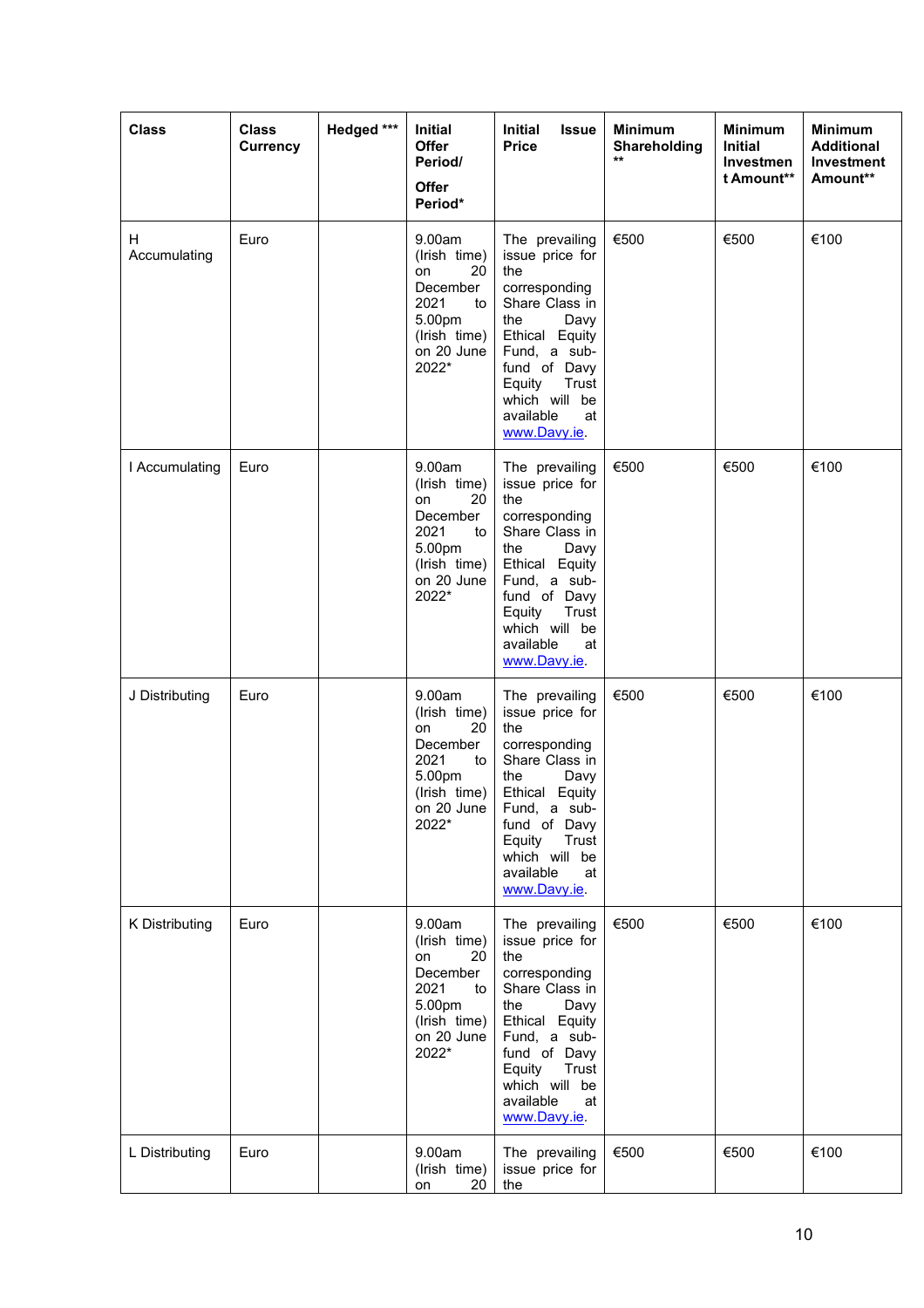| <b>Class</b>       | <b>Class</b><br><b>Currency</b> | Hedged *** | Initial<br>Offer<br>Period/<br>Offer<br>Period*                                                               | Initial<br><b>Issue</b><br><b>Price</b>                                                                                                                                                                             | <b>Minimum</b><br>Shareholding<br>$\star\star$ | <b>Minimum</b><br><b>Initial</b><br>Investmen<br>t Amount** | <b>Minimum</b><br><b>Additional</b><br><b>Investment</b><br>Amount** |
|--------------------|---------------------------------|------------|---------------------------------------------------------------------------------------------------------------|---------------------------------------------------------------------------------------------------------------------------------------------------------------------------------------------------------------------|------------------------------------------------|-------------------------------------------------------------|----------------------------------------------------------------------|
| H.<br>Accumulating | Euro                            |            | 9.00am<br>(Irish time)<br>on<br>20<br>December<br>2021<br>to<br>5.00pm<br>(Irish time)<br>on 20 June<br>2022* | The prevailing<br>issue price for<br>the<br>corresponding<br>Share Class in<br>the<br>Davy<br>Ethical Equity<br>Fund, a sub-<br>fund of Davy<br>Equity<br>Trust<br>which will be<br>available<br>at<br>www.Davy.ie. | €500                                           | €500                                                        | €100                                                                 |
| I Accumulating     | Euro                            |            | 9.00am<br>(Irish time)<br>20<br>on<br>December<br>2021<br>to<br>5.00pm<br>(Irish time)<br>on 20 June<br>2022* | The prevailing<br>issue price for<br>the<br>corresponding<br>Share Class in<br>the<br>Davy<br>Ethical Equity<br>Fund, a sub-<br>fund of Davy<br>Equity<br>Trust<br>which will be<br>available<br>at<br>www.Davy.ie. | €500                                           | €500                                                        | €100                                                                 |
| J Distributing     | Euro                            |            | 9.00am<br>(Irish time)<br>20<br>on<br>December<br>2021<br>to<br>5.00pm<br>(Irish time)<br>on 20 June<br>2022* | The prevailing<br>issue price for<br>the<br>corresponding<br>Share Class in<br>the<br>Davy<br>Ethical Equity<br>Fund, a sub-<br>fund of Davy<br>Equity<br>Trust<br>which will be<br>available<br>at<br>www.Davy.ie. | €500                                           | €500                                                        | €100                                                                 |
| K Distributing     | Euro                            |            | 9.00am<br>(Irish time)<br>20<br>on<br>December<br>2021<br>to<br>5.00pm<br>(Irish time)<br>on 20 June<br>2022* | The prevailing<br>issue price for<br>the<br>corresponding<br>Share Class in<br>the<br>Davy<br>Ethical Equity<br>Fund, a sub-<br>fund of Davy<br>Equity<br>Trust<br>which will be<br>available<br>at<br>www.Davy.ie. | €500                                           | €500                                                        | €100                                                                 |
| L Distributing     | Euro                            |            | 9.00am<br>(Irish time)<br>20<br>on                                                                            | The prevailing<br>issue price for<br>the                                                                                                                                                                            | €500                                           | €500                                                        | €100                                                                 |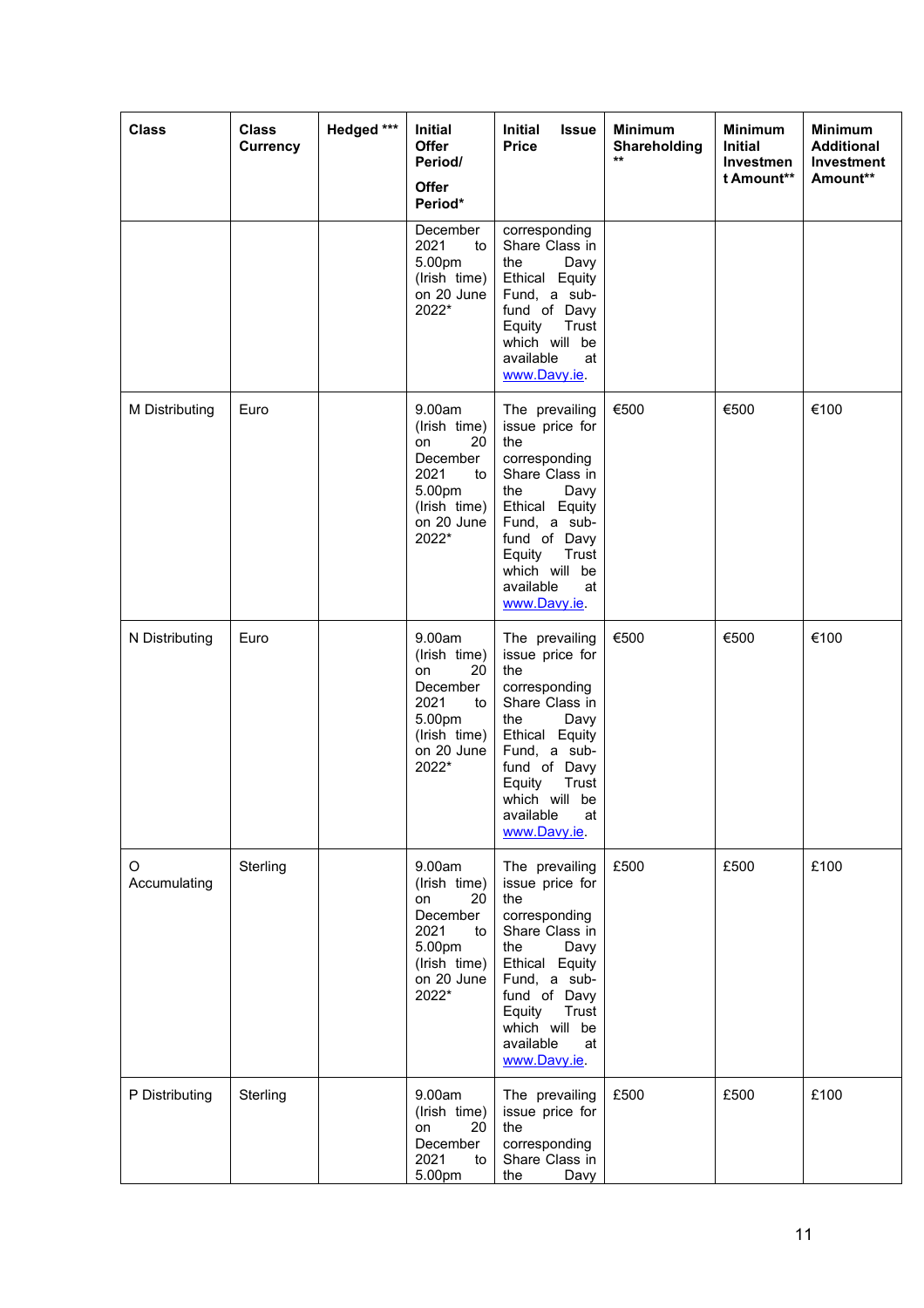| <b>Class</b>      | <b>Class</b><br><b>Currency</b> | Hedged *** | Initial<br>Offer<br>Period/<br><b>Offer</b><br>Period*                                                        | <b>Initial</b><br><b>Issue</b><br><b>Price</b>                                                                                                                                                                      | <b>Minimum</b><br>Shareholding<br>$\star\star$ | <b>Minimum</b><br><b>Initial</b><br>Investmen<br>t Amount** | <b>Minimum</b><br><b>Additional</b><br>Investment<br>Amount** |
|-------------------|---------------------------------|------------|---------------------------------------------------------------------------------------------------------------|---------------------------------------------------------------------------------------------------------------------------------------------------------------------------------------------------------------------|------------------------------------------------|-------------------------------------------------------------|---------------------------------------------------------------|
|                   |                                 |            | December<br>2021<br>to<br>5.00pm<br>(Irish time)<br>on 20 June<br>2022*                                       | corresponding<br>Share Class in<br>the<br>Davy<br>Ethical Equity<br>Fund, a sub-<br>fund of Davy<br>Equity<br>Trust<br>which will be<br>available<br>at<br>www.Davy.ie.                                             |                                                |                                                             |                                                               |
| M Distributing    | Euro                            |            | 9.00am<br>(Irish time)<br>20<br>on<br>December<br>2021<br>to<br>5.00pm<br>(Irish time)<br>on 20 June<br>2022* | The prevailing<br>issue price for<br>the<br>corresponding<br>Share Class in<br>the<br>Davy<br>Ethical Equity<br>Fund, a sub-<br>fund of Davy<br>Equity<br>Trust<br>which will be<br>available<br>at<br>www.Davy.ie. | €500                                           | €500                                                        | €100                                                          |
| N Distributing    | Euro                            |            | 9.00am<br>(Irish time)<br>20<br>on<br>December<br>2021<br>to<br>5.00pm<br>(Irish time)<br>on 20 June<br>2022* | The prevailing<br>issue price for<br>the<br>corresponding<br>Share Class in<br>the<br>Davy<br>Ethical Equity<br>Fund, a sub-<br>fund of Davy<br>Equity<br>Trust<br>which will be<br>available<br>at<br>www.Davy.ie. | €500                                           | €500                                                        | €100                                                          |
| O<br>Accumulating | Sterling                        |            | 9.00am<br>(Irish time)<br>on<br>20<br>December<br>2021<br>to<br>5.00pm<br>(Irish time)<br>on 20 June<br>2022* | The prevailing<br>issue price for<br>the<br>corresponding<br>Share Class in<br>the<br>Davy<br>Ethical Equity<br>Fund, a sub-<br>fund of Davy<br>Equity<br>Trust<br>which will be<br>available<br>at<br>www.Davy.ie. | £500                                           | £500                                                        | £100                                                          |
| P Distributing    | Sterling                        |            | 9.00am<br>(Irish time)<br>20<br>on<br>December<br>2021<br>to<br>5.00pm                                        | The prevailing<br>issue price for<br>the<br>corresponding<br>Share Class in<br>the<br>Davy                                                                                                                          | £500                                           | £500                                                        | £100                                                          |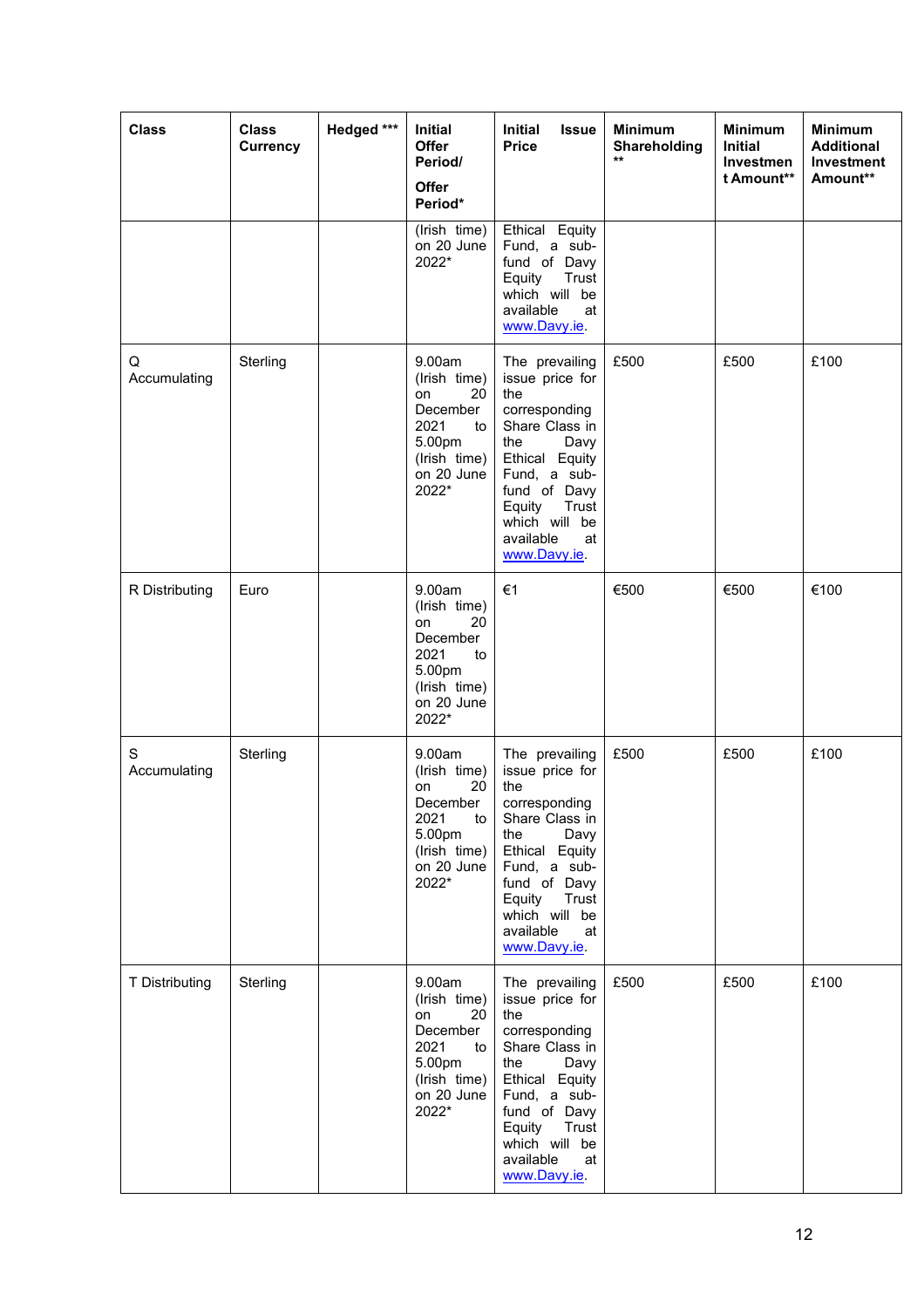| <b>Class</b>      | <b>Class</b><br>Currency | Hedged *** | Initial<br><b>Offer</b><br>Period/<br><b>Offer</b><br>Period*                                                 | Initial<br><b>Issue</b><br><b>Price</b>                                                                                                                                                                             | <b>Minimum</b><br>Shareholding<br>$\star\star$ | <b>Minimum</b><br><b>Initial</b><br>Investmen<br>t Amount** | <b>Minimum</b><br><b>Additional</b><br><b>Investment</b><br>Amount** |
|-------------------|--------------------------|------------|---------------------------------------------------------------------------------------------------------------|---------------------------------------------------------------------------------------------------------------------------------------------------------------------------------------------------------------------|------------------------------------------------|-------------------------------------------------------------|----------------------------------------------------------------------|
|                   |                          |            | (Irish time)<br>on 20 June<br>2022*                                                                           | Ethical Equity<br>Fund, a sub-<br>fund of Davy<br>Equity<br>Trust<br>which will be<br>available<br>at<br>www.Davy.ie.                                                                                               |                                                |                                                             |                                                                      |
| Q<br>Accumulating | Sterling                 |            | 9.00am<br>(Irish time)<br>20<br>on<br>December<br>2021<br>to<br>5.00pm<br>(Irish time)<br>on 20 June<br>2022* | The prevailing<br>issue price for<br>the<br>corresponding<br>Share Class in<br>Davy<br>the<br>Ethical Equity<br>Fund, a sub-<br>fund of Davy<br>Equity<br>Trust<br>which will be<br>available<br>at<br>www.Davy.ie. | £500                                           | £500                                                        | £100                                                                 |
| R Distributing    | Euro                     |            | 9.00am<br>(Irish time)<br>20<br>on<br>December<br>2021<br>to<br>5.00pm<br>(Irish time)<br>on 20 June<br>2022* | €1                                                                                                                                                                                                                  | €500                                           | €500                                                        | €100                                                                 |
| S<br>Accumulating | Sterling                 |            | 9.00am<br>(Irish time)<br>20<br>on<br>December<br>2021<br>to<br>5.00pm<br>(Irish time)<br>on 20 June<br>2022* | The prevailing<br>issue price for<br>the<br>corresponding<br>Share Class in<br>the<br>Davy<br>Ethical Equity<br>Fund, a sub-<br>fund of Davy<br>Equity<br>Trust<br>which will be<br>available<br>at<br>www.Davy.ie. | £500                                           | £500                                                        | £100                                                                 |
| T Distributing    | Sterling                 |            | 9.00am<br>(Irish time)<br>20<br>on<br>December<br>2021<br>to<br>5.00pm<br>(Irish time)<br>on 20 June<br>2022* | The prevailing<br>issue price for<br>the<br>corresponding<br>Share Class in<br>the<br>Davy<br>Ethical Equity<br>Fund, a sub-<br>fund of Davy<br>Equity<br>Trust<br>which will be<br>available<br>at<br>www.Davy.ie. | £500                                           | £500                                                        | £100                                                                 |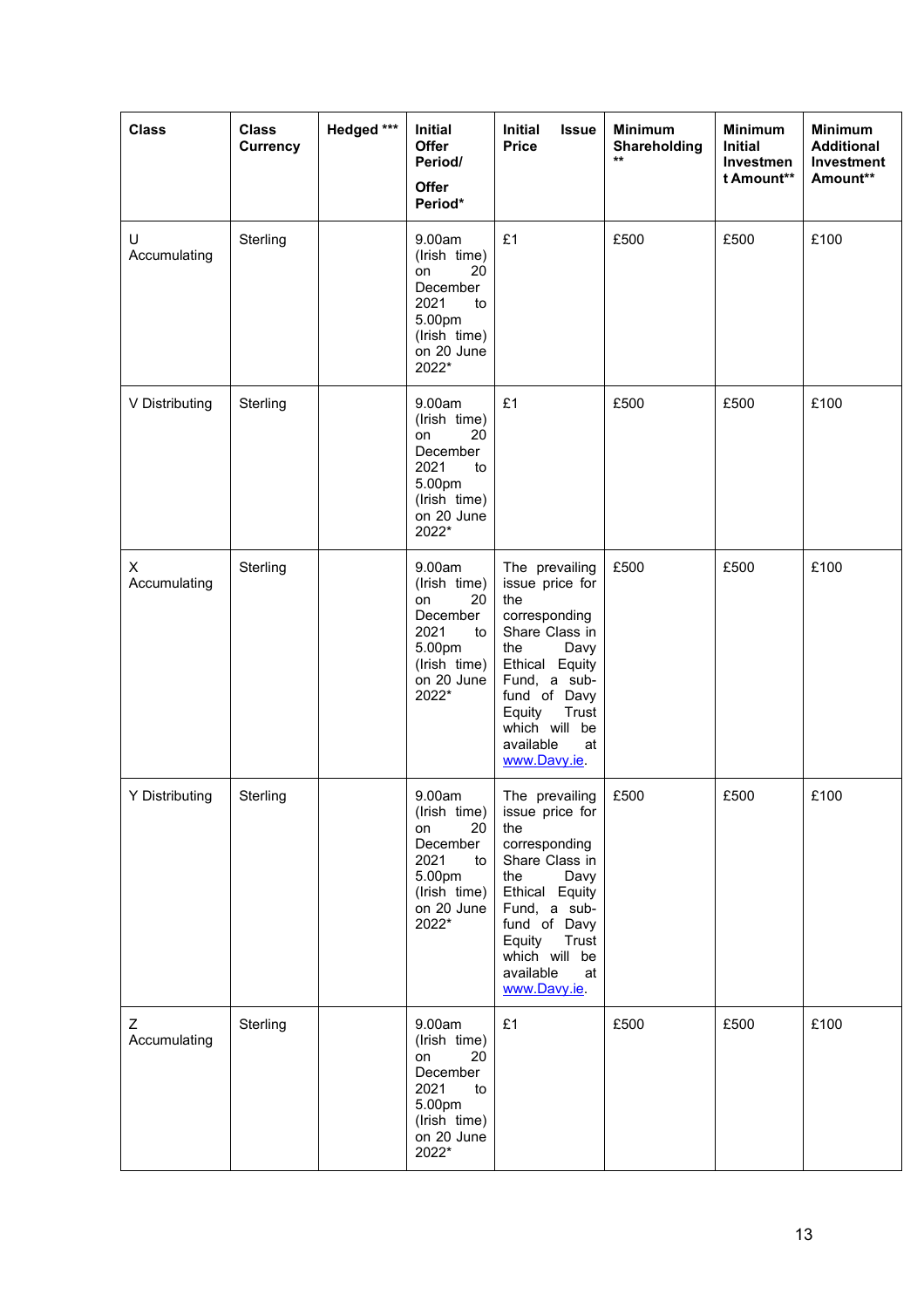| <b>Class</b>      | <b>Class</b><br>Currency | Hedged *** | Initial<br><b>Offer</b><br>Period/<br>Offer<br>Period*                                                        | <b>Initial</b><br><b>Issue</b><br><b>Price</b>                                                                                                                                                                      | <b>Minimum</b><br>Shareholding<br>$\star\star$ | <b>Minimum</b><br><b>Initial</b><br>Investmen<br>t Amount** | <b>Minimum</b><br><b>Additional</b><br>Investment<br>Amount** |
|-------------------|--------------------------|------------|---------------------------------------------------------------------------------------------------------------|---------------------------------------------------------------------------------------------------------------------------------------------------------------------------------------------------------------------|------------------------------------------------|-------------------------------------------------------------|---------------------------------------------------------------|
| U<br>Accumulating | Sterling                 |            | 9.00am<br>(Irish time)<br>20<br>on<br>December<br>2021<br>to<br>5.00pm<br>(Irish time)<br>on 20 June<br>2022* | £1                                                                                                                                                                                                                  | £500                                           | £500                                                        | £100                                                          |
| V Distributing    | Sterling                 |            | 9.00am<br>(Irish time)<br>20<br>on<br>December<br>2021<br>to<br>5.00pm<br>(Irish time)<br>on 20 June<br>2022* | £1                                                                                                                                                                                                                  | £500                                           | £500                                                        | £100                                                          |
| X<br>Accumulating | Sterling                 |            | 9.00am<br>(Irish time)<br>20<br>on<br>December<br>2021<br>to<br>5.00pm<br>(Irish time)<br>on 20 June<br>2022* | The prevailing<br>issue price for<br>the<br>corresponding<br>Share Class in<br>Davy<br>the<br>Ethical Equity<br>Fund, a sub-<br>fund of Davy<br>Equity<br>Trust<br>which will be<br>available<br>at<br>www.Davy.ie. | £500                                           | £500                                                        | £100                                                          |
| Y Distributing    | Sterling                 |            | 9.00am<br>(Irish time)<br>20<br>on<br>December<br>2021<br>to<br>5.00pm<br>(Irish time)<br>on 20 June<br>2022* | The prevailing<br>issue price for<br>the<br>corresponding<br>Share Class in<br>Davy<br>the<br>Ethical Equity<br>Fund, a sub-<br>fund of Davy<br>Equity<br>Trust<br>which will be<br>available<br>at<br>www.Davy.ie. | £500                                           | £500                                                        | £100                                                          |
| Z<br>Accumulating | Sterling                 |            | 9.00am<br>(Irish time)<br>on<br>20<br>December<br>2021<br>to<br>5.00pm<br>(Irish time)<br>on 20 June<br>2022* | £1                                                                                                                                                                                                                  | £500                                           | £500                                                        | £100                                                          |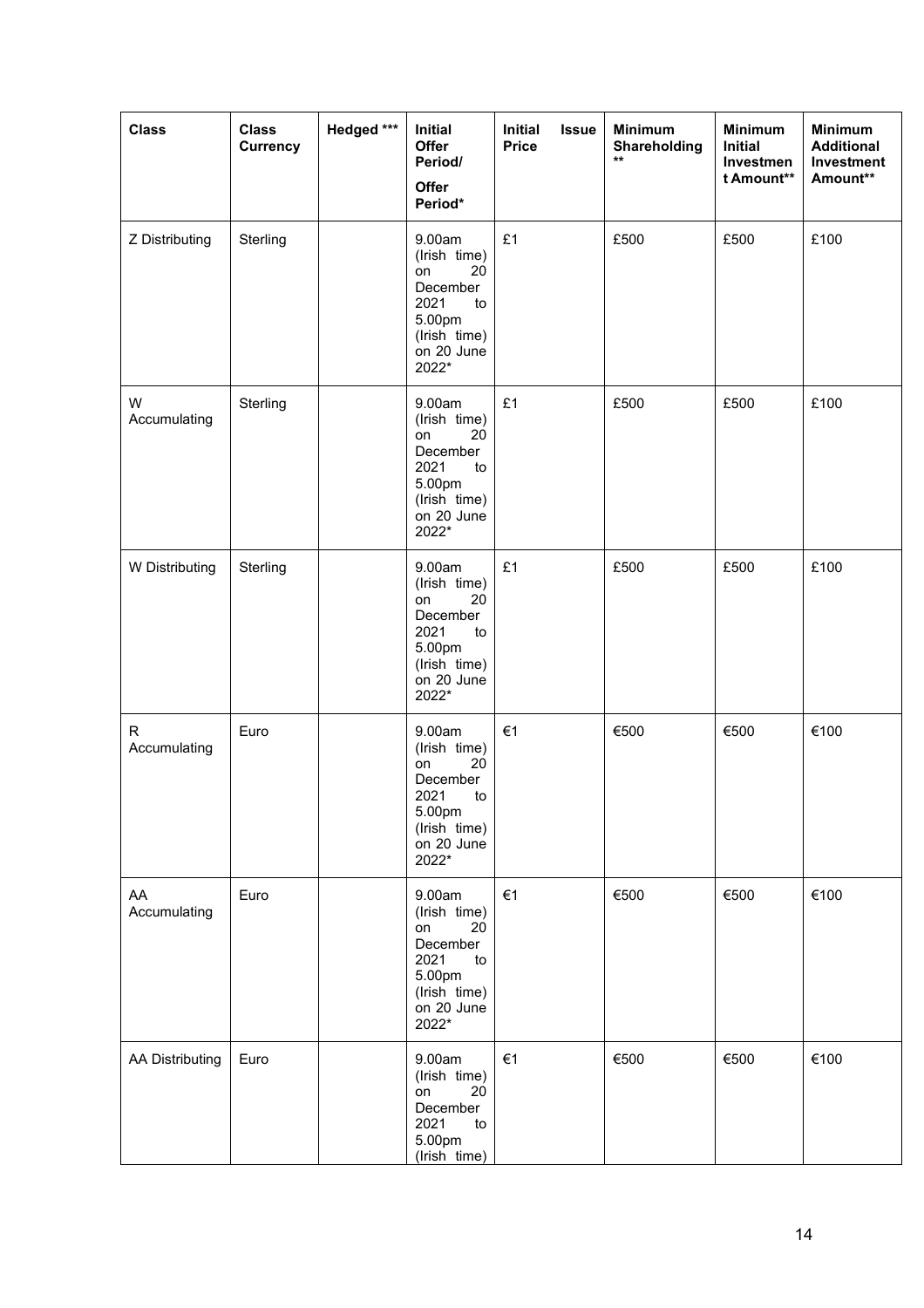| <b>Class</b>           | <b>Class</b><br>Currency | Hedged *** | Initial<br><b>Offer</b><br>Period/<br>Offer<br>Period*                                                        | <b>Initial</b><br><b>Issue</b><br><b>Price</b> | <b>Minimum</b><br>Shareholding<br>$\star\star$ | <b>Minimum</b><br>Initial<br>Investmen<br>t Amount** | <b>Minimum</b><br><b>Additional</b><br>Investment<br>Amount** |
|------------------------|--------------------------|------------|---------------------------------------------------------------------------------------------------------------|------------------------------------------------|------------------------------------------------|------------------------------------------------------|---------------------------------------------------------------|
| Z Distributing         | Sterling                 |            | 9.00am<br>(Irish time)<br>20<br>on<br>December<br>2021<br>to<br>5.00pm<br>(Irish time)<br>on 20 June<br>2022* | £1                                             | £500                                           | £500                                                 | £100                                                          |
| W<br>Accumulating      | Sterling                 |            | 9.00am<br>(Irish time)<br>20<br>on<br>December<br>2021<br>to<br>5.00pm<br>(Irish time)<br>on 20 June<br>2022* | £1                                             | £500                                           | £500                                                 | £100                                                          |
| W Distributing         | Sterling                 |            | 9.00am<br>(Irish time)<br>20<br>on<br>December<br>2021<br>to<br>5.00pm<br>(Irish time)<br>on 20 June<br>2022* | £1                                             | £500                                           | £500                                                 | £100                                                          |
| R<br>Accumulating      | Euro                     |            | 9.00am<br>(Irish time)<br>20<br>on<br>December<br>2021<br>to<br>5.00pm<br>(Irish time)<br>on 20 June<br>2022* | €1                                             | €500                                           | €500                                                 | €100                                                          |
| AA<br>Accumulating     | Euro                     |            | 9.00am<br>(Irish time)<br>20<br>on<br>December<br>2021<br>to<br>5.00pm<br>(Irish time)<br>on 20 June<br>2022* | €1                                             | €500                                           | €500                                                 | €100                                                          |
| <b>AA Distributing</b> | Euro                     |            | 9.00am<br>(Irish time)<br>on<br>20<br>December<br>2021<br>to<br>5.00pm<br>(Irish time)                        | €1                                             | €500                                           | €500                                                 | €100                                                          |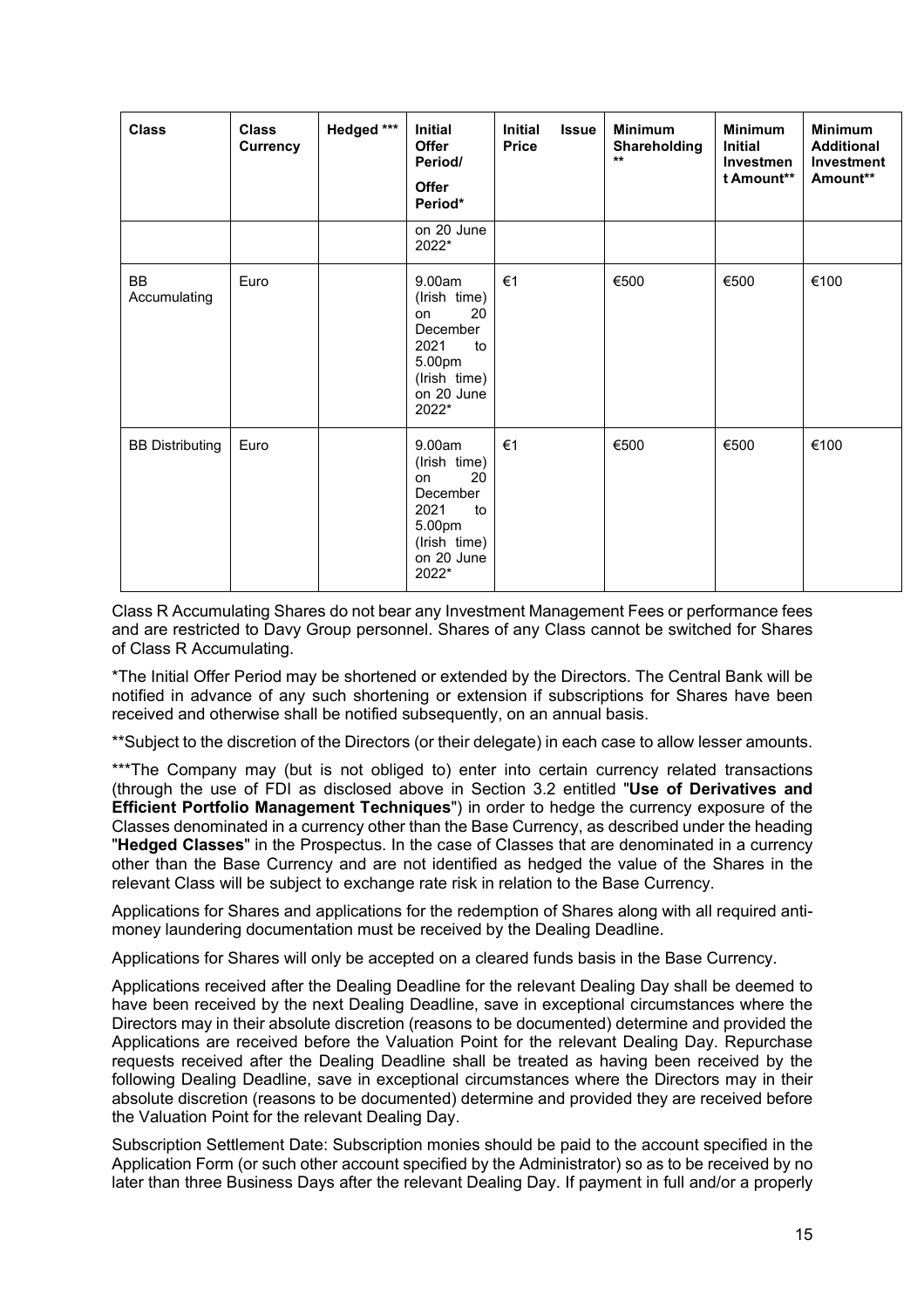| <b>Class</b>              | <b>Class</b><br><b>Currency</b> | Hedged *** | Initial<br>Offer<br>Period/<br><b>Offer</b><br>Period*                                                        | <b>Initial</b><br><b>Issue</b><br><b>Price</b> | <b>Minimum</b><br>Shareholding<br>$\star\star$ | <b>Minimum</b><br>Initial<br><b>Investmen</b><br>t Amount** | <b>Minimum</b><br><b>Additional</b><br><b>Investment</b><br>Amount** |
|---------------------------|---------------------------------|------------|---------------------------------------------------------------------------------------------------------------|------------------------------------------------|------------------------------------------------|-------------------------------------------------------------|----------------------------------------------------------------------|
|                           |                                 |            | on 20 June<br>2022*                                                                                           |                                                |                                                |                                                             |                                                                      |
| <b>BB</b><br>Accumulating | Euro                            |            | 9.00am<br>(Irish time)<br>20<br>on<br>December<br>2021<br>to<br>5.00pm<br>(Irish time)<br>on 20 June<br>2022* | €1                                             | €500                                           | €500                                                        | €100                                                                 |
| <b>BB Distributing</b>    | Euro                            |            | 9.00am<br>(Irish time)<br>20<br>on<br>December<br>2021<br>to<br>5.00pm<br>(Irish time)<br>on 20 June<br>2022* | €1                                             | €500                                           | €500                                                        | €100                                                                 |

Class R Accumulating Shares do not bear any Investment Management Fees or performance fees and are restricted to Davy Group personnel. Shares of any Class cannot be switched for Shares of Class R Accumulating.

\*The Initial Offer Period may be shortened or extended by the Directors. The Central Bank will be notified in advance of any such shortening or extension if subscriptions for Shares have been received and otherwise shall be notified subsequently, on an annual basis.

\*\*Subject to the discretion of the Directors (or their delegate) in each case to allow lesser amounts.

\*\*\*The Company may (but is not obliged to) enter into certain currency related transactions (through the use of FDI as disclosed above in Section 3.2 entitled "**Use of Derivatives and Efficient Portfolio Management Techniques**") in order to hedge the currency exposure of the Classes denominated in a currency other than the Base Currency, as described under the heading "**Hedged Classes**" in the Prospectus. In the case of Classes that are denominated in a currency other than the Base Currency and are not identified as hedged the value of the Shares in the relevant Class will be subject to exchange rate risk in relation to the Base Currency.

Applications for Shares and applications for the redemption of Shares along with all required antimoney laundering documentation must be received by the Dealing Deadline.

Applications for Shares will only be accepted on a cleared funds basis in the Base Currency.

Applications received after the Dealing Deadline for the relevant Dealing Day shall be deemed to have been received by the next Dealing Deadline, save in exceptional circumstances where the Directors may in their absolute discretion (reasons to be documented) determine and provided the Applications are received before the Valuation Point for the relevant Dealing Day. Repurchase requests received after the Dealing Deadline shall be treated as having been received by the following Dealing Deadline, save in exceptional circumstances where the Directors may in their absolute discretion (reasons to be documented) determine and provided they are received before the Valuation Point for the relevant Dealing Day.

Subscription Settlement Date: Subscription monies should be paid to the account specified in the Application Form (or such other account specified by the Administrator) so as to be received by no later than three Business Days after the relevant Dealing Day. If payment in full and/or a properly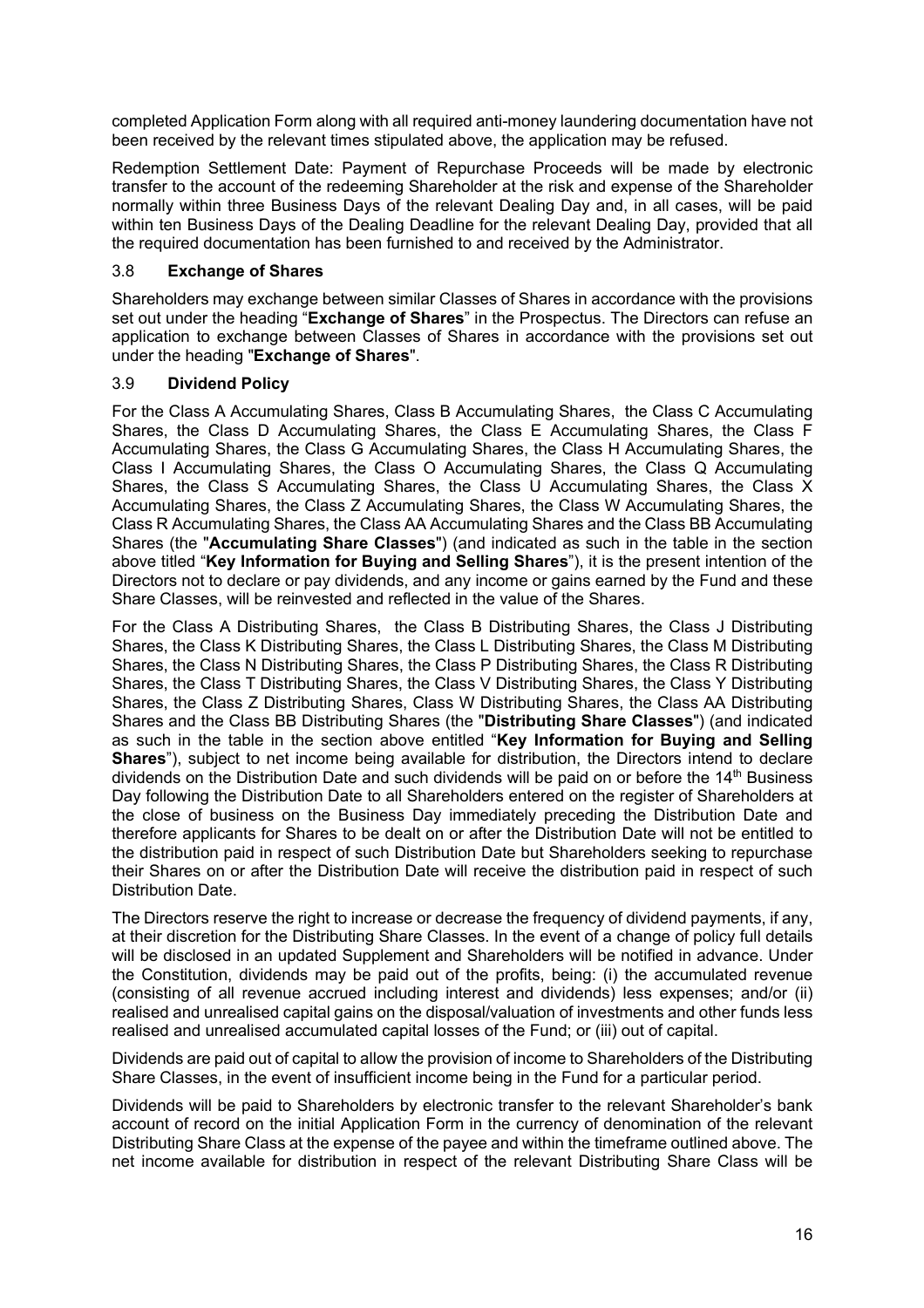completed Application Form along with all required anti-money laundering documentation have not been received by the relevant times stipulated above, the application may be refused.

Redemption Settlement Date: Payment of Repurchase Proceeds will be made by electronic transfer to the account of the redeeming Shareholder at the risk and expense of the Shareholder normally within three Business Days of the relevant Dealing Day and, in all cases, will be paid within ten Business Days of the Dealing Deadline for the relevant Dealing Day, provided that all the required documentation has been furnished to and received by the Administrator.

### 3.8 **Exchange of Shares**

Shareholders may exchange between similar Classes of Shares in accordance with the provisions set out under the heading "**Exchange of Shares**" in the Prospectus. The Directors can refuse an application to exchange between Classes of Shares in accordance with the provisions set out under the heading "**Exchange of Shares**".

### 3.9 **Dividend Policy**

For the Class A Accumulating Shares, Class B Accumulating Shares, the Class C Accumulating Shares, the Class D Accumulating Shares, the Class E Accumulating Shares, the Class F Accumulating Shares, the Class G Accumulating Shares, the Class H Accumulating Shares, the Class I Accumulating Shares, the Class O Accumulating Shares, the Class Q Accumulating Shares, the Class S Accumulating Shares, the Class U Accumulating Shares, the Class X Accumulating Shares, the Class Z Accumulating Shares, the Class W Accumulating Shares, the Class R Accumulating Shares, the Class AA Accumulating Shares and the Class BB Accumulating Shares (the "**Accumulating Share Classes**") (and indicated as such in the table in the section above titled "**Key Information for Buying and Selling Shares**"), it is the present intention of the Directors not to declare or pay dividends, and any income or gains earned by the Fund and these Share Classes, will be reinvested and reflected in the value of the Shares.

For the Class A Distributing Shares, the Class B Distributing Shares, the Class J Distributing Shares, the Class K Distributing Shares, the Class L Distributing Shares, the Class M Distributing Shares, the Class N Distributing Shares, the Class P Distributing Shares, the Class R Distributing Shares, the Class T Distributing Shares, the Class V Distributing Shares, the Class Y Distributing Shares, the Class Z Distributing Shares, Class W Distributing Shares, the Class AA Distributing Shares and the Class BB Distributing Shares (the "**Distributing Share Classes**") (and indicated as such in the table in the section above entitled "**Key Information for Buying and Selling Shares**"), subject to net income being available for distribution, the Directors intend to declare dividends on the Distribution Date and such dividends will be paid on or before the 14<sup>th</sup> Business Day following the Distribution Date to all Shareholders entered on the register of Shareholders at the close of business on the Business Day immediately preceding the Distribution Date and therefore applicants for Shares to be dealt on or after the Distribution Date will not be entitled to the distribution paid in respect of such Distribution Date but Shareholders seeking to repurchase their Shares on or after the Distribution Date will receive the distribution paid in respect of such Distribution Date.

The Directors reserve the right to increase or decrease the frequency of dividend payments, if any, at their discretion for the Distributing Share Classes. In the event of a change of policy full details will be disclosed in an updated Supplement and Shareholders will be notified in advance. Under the Constitution, dividends may be paid out of the profits, being: (i) the accumulated revenue (consisting of all revenue accrued including interest and dividends) less expenses; and/or (ii) realised and unrealised capital gains on the disposal/valuation of investments and other funds less realised and unrealised accumulated capital losses of the Fund; or (iii) out of capital.

Dividends are paid out of capital to allow the provision of income to Shareholders of the Distributing Share Classes, in the event of insufficient income being in the Fund for a particular period.

Dividends will be paid to Shareholders by electronic transfer to the relevant Shareholder's bank account of record on the initial Application Form in the currency of denomination of the relevant Distributing Share Class at the expense of the payee and within the timeframe outlined above. The net income available for distribution in respect of the relevant Distributing Share Class will be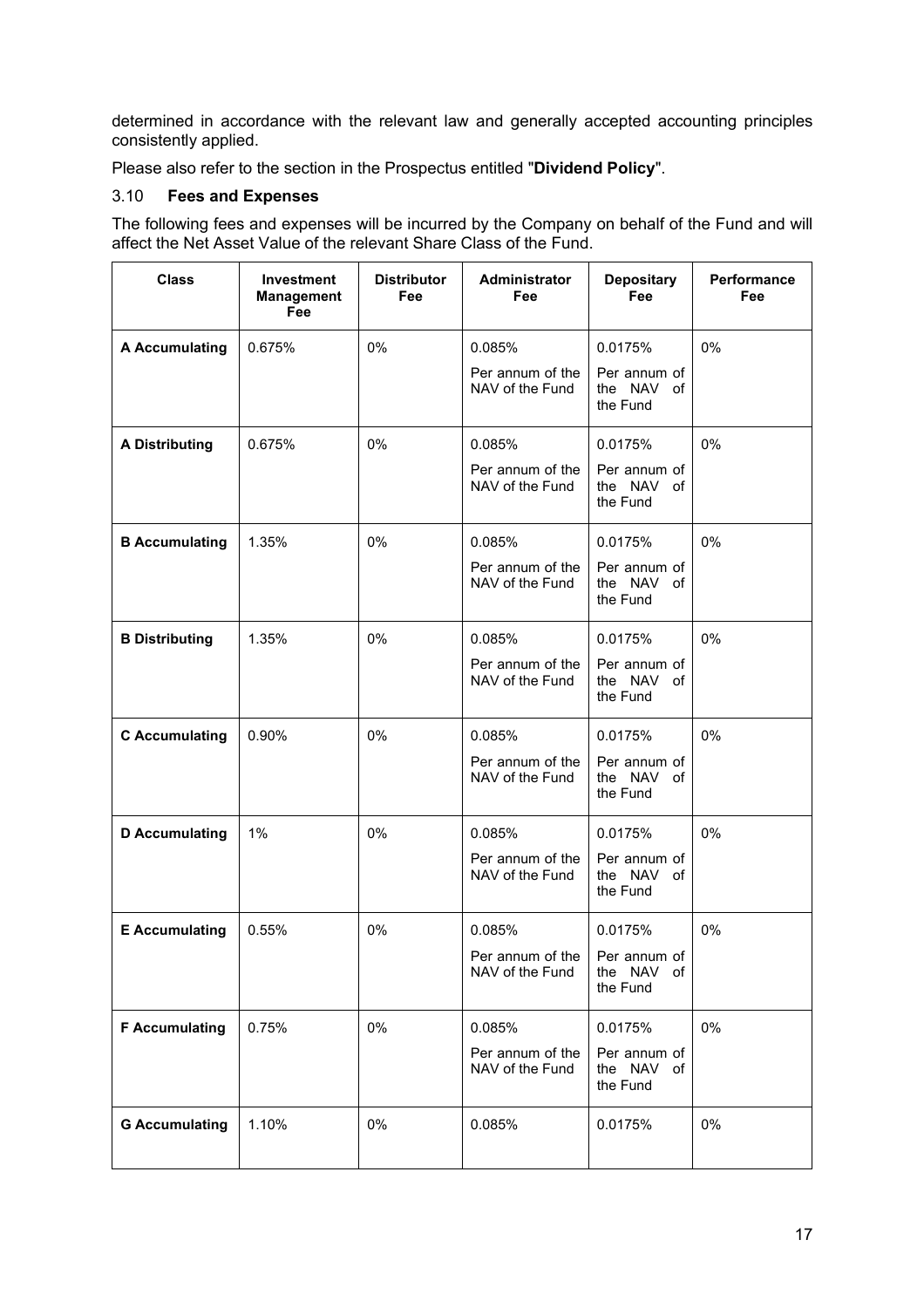determined in accordance with the relevant law and generally accepted accounting principles consistently applied.

Please also refer to the section in the Prospectus entitled "**Dividend Policy**".

# 3.10 **Fees and Expenses**

The following fees and expenses will be incurred by the Company on behalf of the Fund and will affect the Net Asset Value of the relevant Share Class of the Fund.

| <b>Class</b>          | <b>Investment</b><br><b>Management</b><br>Fee | <b>Distributor</b><br>Fee | Administrator<br>Fee                        | <b>Depositary</b><br>Fee               | Performance<br>Fee |
|-----------------------|-----------------------------------------------|---------------------------|---------------------------------------------|----------------------------------------|--------------------|
| <b>A Accumulating</b> | 0.675%                                        | 0%                        | 0.085%                                      | 0.0175%                                | 0%                 |
|                       |                                               |                           | Per annum of the<br>NAV of the Fund         | Per annum of<br>the NAV of<br>the Fund |                    |
| <b>A Distributing</b> | 0.675%                                        | 0%                        | 0.085%                                      | 0.0175%                                | 0%                 |
|                       |                                               |                           | Per annum of the<br>NAV of the Fund         | Per annum of<br>the NAV of<br>the Fund |                    |
| <b>B</b> Accumulating | 1.35%                                         | 0%                        | 0.085%                                      | 0.0175%                                | 0%                 |
|                       |                                               |                           | Per annum of the<br>NAV of the Fund         | Per annum of<br>the NAV of<br>the Fund |                    |
| <b>B Distributing</b> | 1.35%                                         | 0%                        | 0.085%                                      | 0.0175%                                | 0%                 |
|                       |                                               |                           | Per annum of the<br>NAV of the Fund         | Per annum of<br>the NAV of<br>the Fund |                    |
| <b>C</b> Accumulating | 0.90%                                         | 0%                        | 0.085%                                      | 0.0175%                                | 0%                 |
|                       |                                               |                           | Per annum of the<br>NAV of the Fund         | Per annum of<br>the NAV of<br>the Fund |                    |
| <b>D</b> Accumulating | 1%                                            | 0%                        | 0.085%                                      | 0.0175%                                | 0%                 |
|                       |                                               |                           | Per annum of the<br>NAV of the Fund         | Per annum of<br>the NAV of<br>the Fund |                    |
| <b>E</b> Accumulating | 0.55%                                         | 0%                        | 0.085%                                      | 0.0175%                                | 0%                 |
|                       |                                               |                           | Per annum of the $\vert$<br>NAV of the Fund | Per annum of<br>the NAV of<br>the Fund |                    |
| <b>F</b> Accumulating | 0.75%                                         | 0%                        | 0.085%                                      | 0.0175%                                | 0%                 |
|                       |                                               |                           | Per annum of the<br>NAV of the Fund         | Per annum of<br>the NAV of<br>the Fund |                    |
| <b>G Accumulating</b> | 1.10%                                         | 0%                        | 0.085%                                      | 0.0175%                                | 0%                 |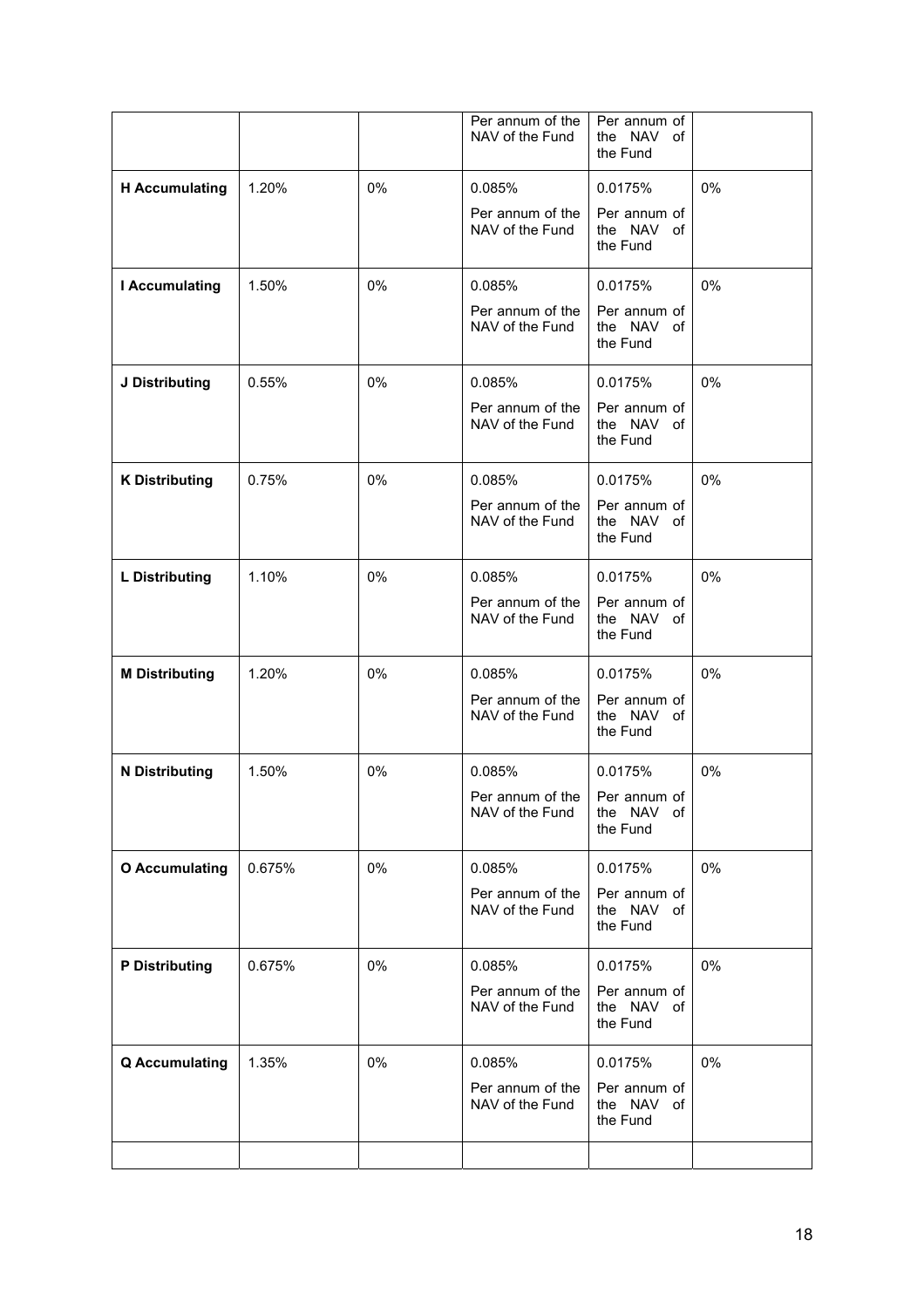|                       |        |    | Per annum of the<br>NAV of the Fund | Per annum of<br>the NAV<br>of<br>the Fund |       |
|-----------------------|--------|----|-------------------------------------|-------------------------------------------|-------|
| <b>H</b> Accumulating | 1.20%  | 0% | 0.085%                              | 0.0175%                                   | 0%    |
|                       |        |    | Per annum of the<br>NAV of the Fund | Per annum of<br>the NAV of<br>the Fund    |       |
| <b>I</b> Accumulating | 1.50%  | 0% | 0.085%                              | 0.0175%                                   | 0%    |
|                       |        |    | Per annum of the<br>NAV of the Fund | Per annum of<br>the NAV of<br>the Fund    |       |
| J Distributing        | 0.55%  | 0% | 0.085%                              | 0.0175%                                   | 0%    |
|                       |        |    | Per annum of the<br>NAV of the Fund | Per annum of<br>the NAV of<br>the Fund    |       |
| <b>K Distributing</b> | 0.75%  | 0% | 0.085%                              | 0.0175%                                   | 0%    |
|                       |        |    | Per annum of the<br>NAV of the Fund | Per annum of<br>the NAV of<br>the Fund    |       |
| <b>L</b> Distributing | 1.10%  | 0% | 0.085%                              | 0.0175%                                   | 0%    |
|                       |        |    | Per annum of the<br>NAV of the Fund | Per annum of<br>the NAV of<br>the Fund    |       |
| <b>M Distributing</b> | 1.20%  | 0% | 0.085%                              | 0.0175%                                   | 0%    |
|                       |        |    | Per annum of the<br>NAV of the Fund | Per annum of<br>the NAV of<br>the Fund    |       |
| <b>N</b> Distributing | 1.50%  | 0% | 0.085%                              | 0.0175%                                   | 0%    |
|                       |        |    | Per annum of the<br>NAV of the Fund | Per annum of<br>the NAV<br>of<br>the Fund |       |
| <b>O</b> Accumulating | 0.675% | 0% | 0.085%                              | 0.0175%                                   | $0\%$ |
|                       |        |    | Per annum of the<br>NAV of the Fund | Per annum of<br>the NAV of<br>the Fund    |       |
| <b>P</b> Distributing | 0.675% | 0% | 0.085%                              | 0.0175%                                   | $0\%$ |
|                       |        |    | Per annum of the<br>NAV of the Fund | Per annum of<br>the NAV of<br>the Fund    |       |
| <b>Q</b> Accumulating | 1.35%  | 0% | 0.085%                              | 0.0175%                                   | 0%    |
|                       |        |    | Per annum of the<br>NAV of the Fund | Per annum of<br>the NAV of<br>the Fund    |       |
|                       |        |    |                                     |                                           |       |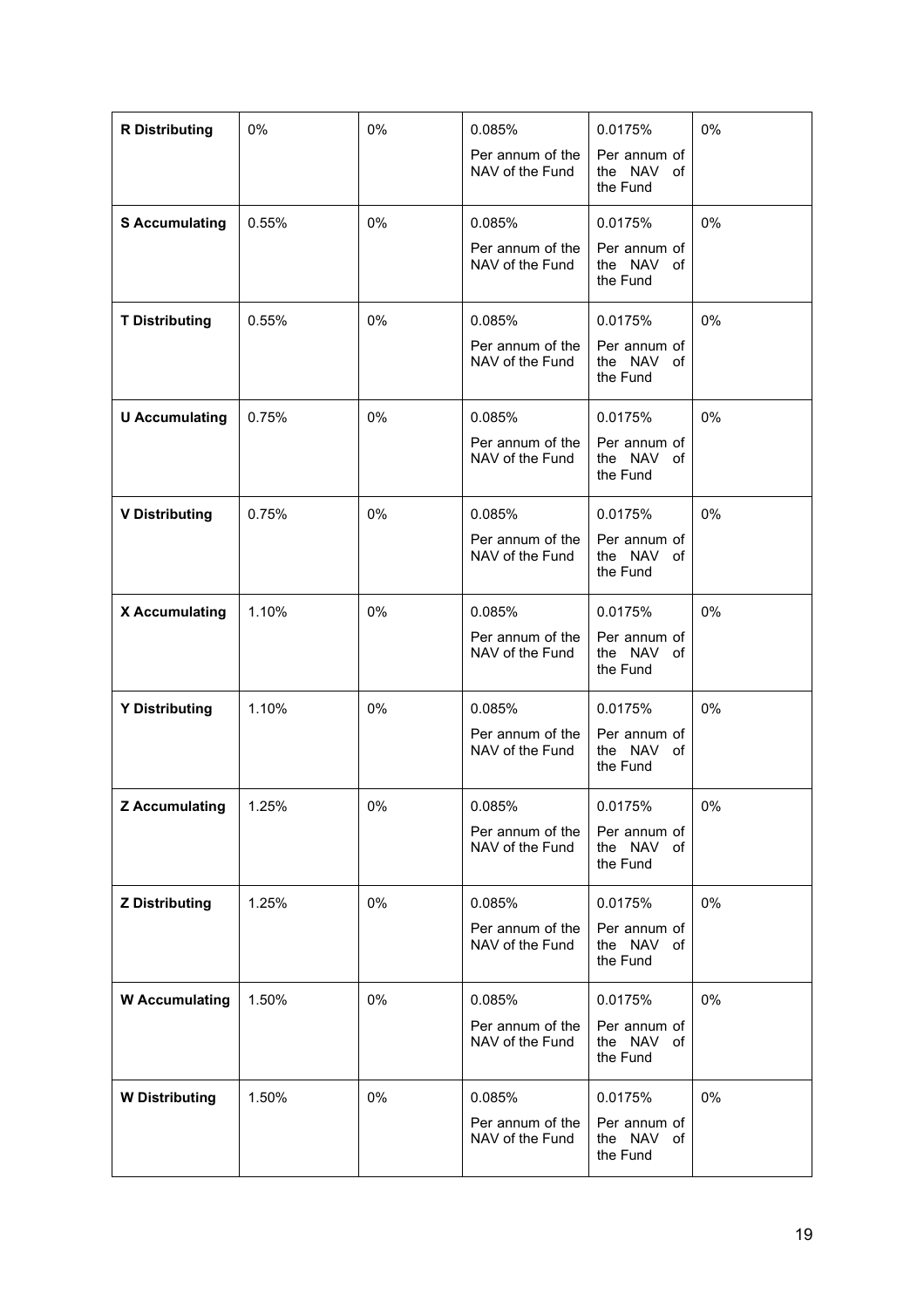| <b>R</b> Distributing | 0%    | 0% | 0.085%                              | 0.0175%                                | 0%    |
|-----------------------|-------|----|-------------------------------------|----------------------------------------|-------|
|                       |       |    | Per annum of the<br>NAV of the Fund | Per annum of<br>the NAV of<br>the Fund |       |
| <b>S</b> Accumulating | 0.55% | 0% | 0.085%                              | 0.0175%                                | 0%    |
|                       |       |    | Per annum of the<br>NAV of the Fund | Per annum of<br>the NAV of<br>the Fund |       |
| <b>T Distributing</b> | 0.55% | 0% | 0.085%                              | 0.0175%                                | 0%    |
|                       |       |    | Per annum of the<br>NAV of the Fund | Per annum of<br>the NAV of<br>the Fund |       |
| <b>U</b> Accumulating | 0.75% | 0% | 0.085%                              | 0.0175%                                | $0\%$ |
|                       |       |    | Per annum of the<br>NAV of the Fund | Per annum of<br>the NAV of<br>the Fund |       |
| <b>V Distributing</b> | 0.75% | 0% | 0.085%                              | 0.0175%                                | 0%    |
|                       |       |    | Per annum of the<br>NAV of the Fund | Per annum of<br>the NAV of<br>the Fund |       |
| X Accumulating        | 1.10% | 0% | 0.085%                              | 0.0175%                                | 0%    |
|                       |       |    | Per annum of the<br>NAV of the Fund | Per annum of<br>the NAV of<br>the Fund |       |
| <b>Y Distributing</b> | 1.10% | 0% | 0.085%                              | 0.0175%                                | 0%    |
|                       |       |    | Per annum of the<br>NAV of the Fund | Per annum of<br>the NAV of<br>the Fund |       |
| <b>Z</b> Accumulating | 1.25% | 0% | 0.085%                              | 0.0175%                                | 0%    |
|                       |       |    | Per annum of the<br>NAV of the Fund | Per annum of<br>the NAV of<br>the Fund |       |
| <b>Z Distributing</b> | 1.25% | 0% | 0.085%                              | 0.0175%                                | 0%    |
|                       |       |    | Per annum of the<br>NAV of the Fund | Per annum of<br>the NAV of<br>the Fund |       |
| <b>W</b> Accumulating | 1.50% | 0% | 0.085%                              | 0.0175%                                | 0%    |
|                       |       |    | Per annum of the<br>NAV of the Fund | Per annum of<br>the NAV of<br>the Fund |       |
| <b>W</b> Distributing | 1.50% | 0% | 0.085%                              | 0.0175%                                | 0%    |
|                       |       |    | Per annum of the<br>NAV of the Fund | Per annum of<br>the NAV of<br>the Fund |       |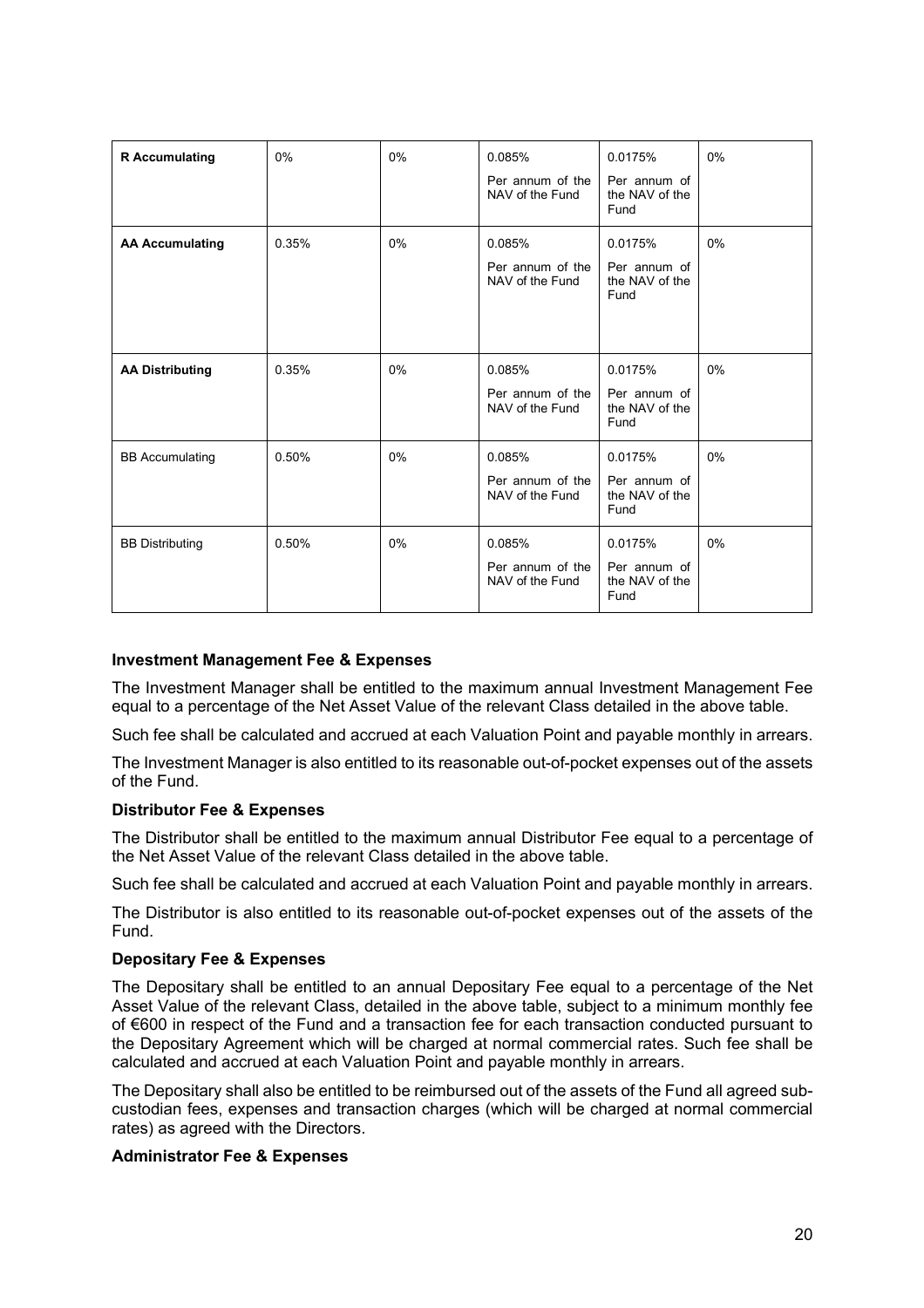| <b>R</b> Accumulating  | 0%    | 0%    | 0.085%<br>Per annum of the<br>NAV of the Fund | 0.0175%<br>Per annum of<br>the NAV of the<br>Fund | 0%    |
|------------------------|-------|-------|-----------------------------------------------|---------------------------------------------------|-------|
| <b>AA Accumulating</b> | 0.35% | 0%    | 0.085%<br>Per annum of the<br>NAV of the Fund | 0.0175%<br>Per annum of<br>the NAV of the<br>Fund | $0\%$ |
| <b>AA Distributing</b> | 0.35% | 0%    | 0.085%<br>Per annum of the<br>NAV of the Fund | 0.0175%<br>Per annum of<br>the NAV of the<br>Fund | 0%    |
| <b>BB</b> Accumulating | 0.50% | $0\%$ | 0.085%<br>Per annum of the<br>NAV of the Fund | 0.0175%<br>Per annum of<br>the NAV of the<br>Fund | $0\%$ |
| <b>BB Distributing</b> | 0.50% | $0\%$ | 0.085%<br>Per annum of the<br>NAV of the Fund | 0.0175%<br>Per annum of<br>the NAV of the<br>Fund | 0%    |

#### **Investment Management Fee & Expenses**

The Investment Manager shall be entitled to the maximum annual Investment Management Fee equal to a percentage of the Net Asset Value of the relevant Class detailed in the above table.

Such fee shall be calculated and accrued at each Valuation Point and payable monthly in arrears.

The Investment Manager is also entitled to its reasonable out-of-pocket expenses out of the assets of the Fund.

#### **Distributor Fee & Expenses**

The Distributor shall be entitled to the maximum annual Distributor Fee equal to a percentage of the Net Asset Value of the relevant Class detailed in the above table.

Such fee shall be calculated and accrued at each Valuation Point and payable monthly in arrears.

The Distributor is also entitled to its reasonable out-of-pocket expenses out of the assets of the Fund.

#### **Depositary Fee & Expenses**

The Depositary shall be entitled to an annual Depositary Fee equal to a percentage of the Net Asset Value of the relevant Class, detailed in the above table, subject to a minimum monthly fee of €600 in respect of the Fund and a transaction fee for each transaction conducted pursuant to the Depositary Agreement which will be charged at normal commercial rates. Such fee shall be calculated and accrued at each Valuation Point and payable monthly in arrears.

The Depositary shall also be entitled to be reimbursed out of the assets of the Fund all agreed subcustodian fees, expenses and transaction charges (which will be charged at normal commercial rates) as agreed with the Directors.

#### **Administrator Fee & Expenses**